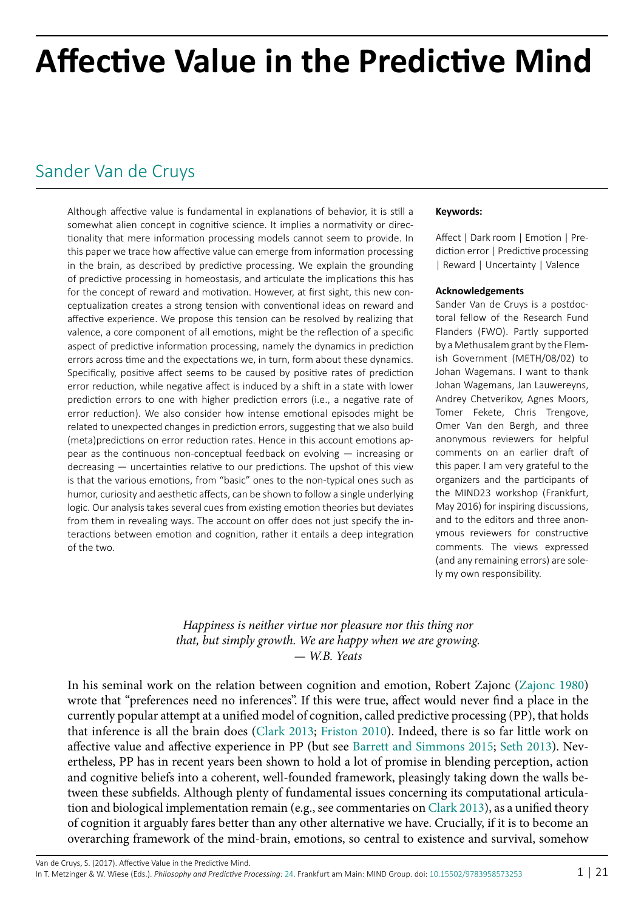# **Affective Value in the Predictive Mind**

# [Sander Van de Cruys](http://predictive-mind.net/ppp-contributors/Sander_Van_de_Cruys)

Although affective value is fundamental in explanations of behavior, it is still a somewhat alien concept in cognitive science. It implies a normativity or directionality that mere information processing models cannot seem to provide. In this paper we trace how affective value can emerge from information processing in the brain, as described by predictive processing. We explain the grounding of predictive processing in homeostasis, and articulate the implications this has for the concept of reward and motivation. However, at first sight, this new conceptualization creates a strong tension with conventional ideas on reward and affective experience. We propose this tension can be resolved by realizing that valence, a core component of all emotions, might be the reflection of a specific aspect of predictive information processing, namely the dynamics in prediction errors across time and the expectations we, in turn, form about these dynamics. Specifically, positive affect seems to be caused by positive rates of prediction error reduction, while negative affect is induced by a shift in a state with lower prediction errors to one with higher prediction errors (i.e., a negative rate of error reduction). We also consider how intense emotional episodes might be related to unexpected changes in prediction errors, suggesting that we also build (meta)predictions on error reduction rates. Hence in this account emotions appear as the continuous non-conceptual feedback on evolving — increasing or decreasing — uncertainties relative to our predictions. The upshot of this view is that the various emotions, from "basic" ones to the non-typical ones such as humor, curiosity and aesthetic affects, can be shown to follow a single underlying logic. Our analysis takes several cues from existing emotion theories but deviates from them in revealing ways. The account on offer does not just specify the interactions between emotion and cognition, rather it entails a deep integration of the two.

#### **Keywords:**

Affect | Dark room | Emotion | Prediction error | Predictive processing | Reward | Uncertainty | Valence

#### **Acknowledgements**

Sander Van de Cruys is a postdoctoral fellow of the Research Fund Flanders (FWO). Partly supported by a Methusalem grant by the Flemish Government (METH/08/02) to Johan Wagemans. I want to thank Johan Wagemans, Jan Lauwereyns, Andrey Chetverikov, Agnes Moors, Tomer Fekete, Chris Trengove, Omer Van den Bergh, and three anonymous reviewers for helpful comments on an earlier draft of this paper. I am very grateful to the organizers and the participants of the MIND23 workshop (Frankfurt, May 2016) for inspiring discussions, and to the editors and three anonymous reviewers for constructive comments. The views expressed (and any remaining errors) are solely my own responsibility.

#### *Happiness is neither virtue nor pleasure nor this thing nor that, but simply growth. We are happy when we are growing. — W.B. Yeats*

In his seminal work on the relation between cognition and emotion, Robert Zajonc [\(Zajonc 1980](#page-20-0)) wrote that "preferences need no inferences". If this were true, affect would never find a place in the currently popular attempt at a unified model of cognition, called predictive processing (PP), that holds that inference is all the brain does ([Clark 2013](#page-16-0); [Friston 2010\)](#page-17-0). Indeed, there is so far little work on affective value and affective experience in PP (but see [Barrett and Simmons 2015](#page-16-1); [Seth 2013](#page-19-0)). Nevertheless, PP has in recent years been shown to hold a lot of promise in blending perception, action and cognitive beliefs into a coherent, well-founded framework, pleasingly taking down the walls between these subfields. Although plenty of fundamental issues concerning its computational articulation and biological implementation remain (e.g., see commentaries on [Clark 2013\)](#page-16-0), as a unified theory of cognition it arguably fares better than any other alternative we have. Crucially, if it is to become an overarching framework of the mind-brain, emotions, so central to existence and survival, somehow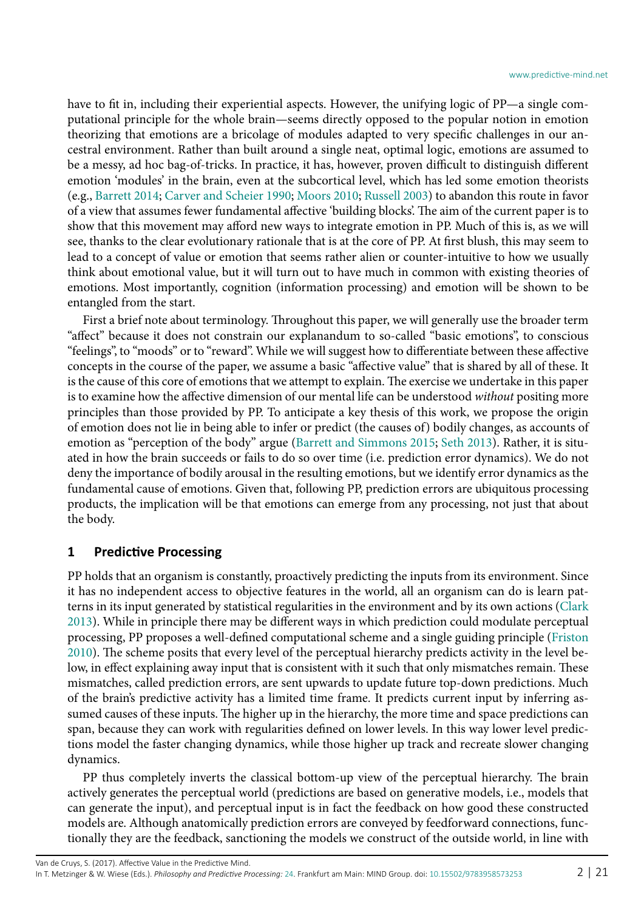have to fit in, including their experiential aspects. However, the unifying logic of PP—a single computational principle for the whole brain—seems directly opposed to the popular notion in emotion theorizing that emotions are a bricolage of modules adapted to very specific challenges in our ancestral environment. Rather than built around a single neat, optimal logic, emotions are assumed to be a messy, ad hoc bag-of-tricks. In practice, it has, however, proven difficult to distinguish different emotion 'modules' in the brain, even at the subcortical level, which has led some emotion theorists (e.g., [Barrett 2014](#page-16-2); [Carver and Scheier 1990](#page-16-3); [Moors 2010](#page-18-0); [Russell 2003\)](#page-19-1) to abandon this route in favor of a view that assumes fewer fundamental affective 'building blocks'. The aim of the current paper is to show that this movement may afford new ways to integrate emotion in PP. Much of this is, as we will see, thanks to the clear evolutionary rationale that is at the core of PP. At first blush, this may seem to lead to a concept of value or emotion that seems rather alien or counter-intuitive to how we usually think about emotional value, but it will turn out to have much in common with existing theories of emotions. Most importantly, cognition (information processing) and emotion will be shown to be entangled from the start.

First a brief note about terminology. Throughout this paper, we will generally use the broader term "affect" because it does not constrain our explanandum to so-called "basic emotions", to conscious "feelings", to "moods" or to "reward". While we will suggest how to differentiate between these affective concepts in the course of the paper, we assume a basic "affective value" that is shared by all of these. It is the cause of this core of emotions that we attempt to explain. The exercise we undertake in this paper is to examine how the affective dimension of our mental life can be understood *without* positing more principles than those provided by PP. To anticipate a key thesis of this work, we propose the origin of emotion does not lie in being able to infer or predict (the causes of) bodily changes, as accounts of emotion as "perception of the body" argue ([Barrett and Simmons 2015](#page-16-1); [Seth 2013](#page-19-0)). Rather, it is situated in how the brain succeeds or fails to do so over time (i.e. prediction error dynamics). We do not deny the importance of bodily arousal in the resulting emotions, but we identify error dynamics as the fundamental cause of emotions. Given that, following PP, prediction errors are ubiquitous processing products, the implication will be that emotions can emerge from any processing, not just that about the body.

#### **1 Predictive Processing**

PP holds that an organism is constantly, proactively predicting the inputs from its environment. Since it has no independent access to objective features in the world, all an organism can do is learn patterns in its input generated by statistical regularities in the environment and by its own actions ([Clark](#page-16-0) [2013](#page-16-0)). While in principle there may be different ways in which prediction could modulate perceptual processing, PP proposes a well-defined computational scheme and a single guiding principle ([Friston](#page-17-0) [2010](#page-17-0)). The scheme posits that every level of the perceptual hierarchy predicts activity in the level below, in effect explaining away input that is consistent with it such that only mismatches remain. These mismatches, called prediction errors, are sent upwards to update future top-down predictions. Much of the brain's predictive activity has a limited time frame. It predicts current input by inferring assumed causes of these inputs. The higher up in the hierarchy, the more time and space predictions can span, because they can work with regularities defined on lower levels. In this way lower level predictions model the faster changing dynamics, while those higher up track and recreate slower changing dynamics.

PP thus completely inverts the classical bottom-up view of the perceptual hierarchy. The brain actively generates the perceptual world (predictions are based on generative models, i.e., models that can generate the input), and perceptual input is in fact the feedback on how good these constructed models are. Although anatomically prediction errors are conveyed by feedforward connections, functionally they are the feedback, sanctioning the models we construct of the outside world, in line with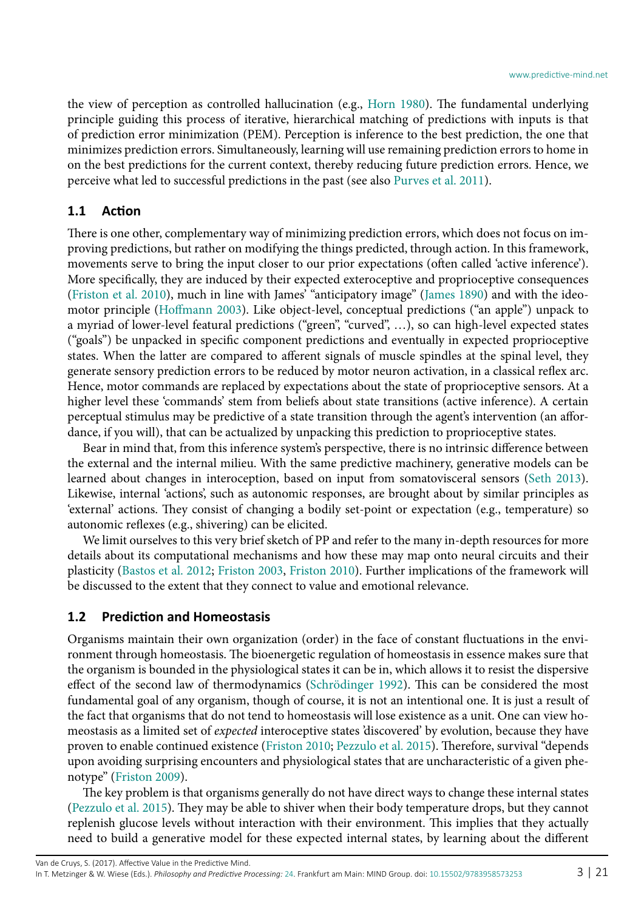the view of perception as controlled hallucination (e.g., [Horn 1980\)](#page-18-1). The fundamental underlying principle guiding this process of iterative, hierarchical matching of predictions with inputs is that of prediction error minimization (PEM). Perception is inference to the best prediction, the one that minimizes prediction errors. Simultaneously, learning will use remaining prediction errors to home in on the best predictions for the current context, thereby reducing future prediction errors. Hence, we perceive what led to successful predictions in the past (see also [Purves et al. 2011\)](#page-19-2).

## **1.1 Action**

There is one other, complementary way of minimizing prediction errors, which does not focus on improving predictions, but rather on modifying the things predicted, through action. In this framework, movements serve to bring the input closer to our prior expectations (often called 'active inference'). More specifically, they are induced by their expected exteroceptive and proprioceptive consequences ([Friston et al. 2010\)](#page-17-1), much in line with James' "anticipatory image" ([James 1890](#page-18-2)) and with the ideomotor principle ([Hoffmann 2003](#page-18-3)). Like object-level, conceptual predictions ("an apple") unpack to a myriad of lower-level featural predictions ("green", "curved", …), so can high-level expected states ("goals") be unpacked in specific component predictions and eventually in expected proprioceptive states. When the latter are compared to afferent signals of muscle spindles at the spinal level, they generate sensory prediction errors to be reduced by motor neuron activation, in a classical reflex arc. Hence, motor commands are replaced by expectations about the state of proprioceptive sensors. At a higher level these 'commands' stem from beliefs about state transitions (active inference). A certain perceptual stimulus may be predictive of a state transition through the agent's intervention (an affordance, if you will), that can be actualized by unpacking this prediction to proprioceptive states.

Bear in mind that, from this inference system's perspective, there is no intrinsic difference between the external and the internal milieu. With the same predictive machinery, generative models can be learned about changes in interoception, based on input from somatovisceral sensors ([Seth 2013](#page-19-0)). Likewise, internal 'actions', such as autonomic responses, are brought about by similar principles as 'external' actions. They consist of changing a bodily set-point or expectation (e.g., temperature) so autonomic reflexes (e.g., shivering) can be elicited.

We limit ourselves to this very brief sketch of PP and refer to the many in-depth resources for more details about its computational mechanisms and how these may map onto neural circuits and their plasticity ([Bastos et al. 2012;](#page-16-4) [Friston 2003,](#page-17-2) [Friston 2010](#page-17-0)). Further implications of the framework will be discussed to the extent that they connect to value and emotional relevance.

#### **1.2 Prediction and Homeostasis**

Organisms maintain their own organization (order) in the face of constant fluctuations in the environment through homeostasis. The bioenergetic regulation of homeostasis in essence makes sure that the organism is bounded in the physiological states it can be in, which allows it to resist the dispersive effect of the second law of thermodynamics ([Schrödinger 1992\)](#page-19-3). This can be considered the most fundamental goal of any organism, though of course, it is not an intentional one. It is just a result of the fact that organisms that do not tend to homeostasis will lose existence as a unit. One can view homeostasis as a limited set of *expected* interoceptive states 'discovered' by evolution, because they have proven to enable continued existence ([Friston 2010;](#page-17-0) [Pezzulo et al. 2015\)](#page-19-4). Therefore, survival "depends upon avoiding surprising encounters and physiological states that are uncharacteristic of a given phenotype" ([Friston 2009\)](#page-17-3).

The key problem is that organisms generally do not have direct ways to change these internal states ([Pezzulo et al. 2015\)](#page-19-4). They may be able to shiver when their body temperature drops, but they cannot replenish glucose levels without interaction with their environment. This implies that they actually need to build a generative model for these expected internal states, by learning about the different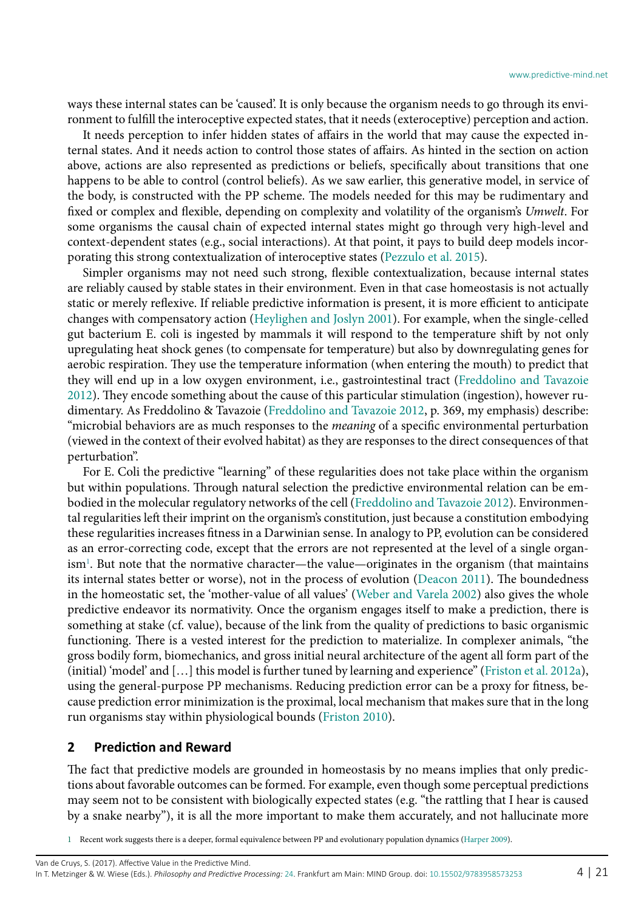ways these internal states can be 'caused'. It is only because the organism needs to go through its environment to fulfill the interoceptive expected states, that it needs (exteroceptive) perception and action.

It needs perception to infer hidden states of affairs in the world that may cause the expected internal states. And it needs action to control those states of affairs. As hinted in the section on action above, actions are also represented as predictions or beliefs, specifically about transitions that one happens to be able to control (control beliefs). As we saw earlier, this generative model, in service of the body, is constructed with the PP scheme. The models needed for this may be rudimentary and fixed or complex and flexible, depending on complexity and volatility of the organism's *Umwelt*. For some organisms the causal chain of expected internal states might go through very high-level and context-dependent states (e.g., social interactions). At that point, it pays to build deep models incorporating this strong contextualization of interoceptive states ([Pezzulo et al. 2015\)](#page-19-4).

Simpler organisms may not need such strong, flexible contextualization, because internal states are reliably caused by stable states in their environment. Even in that case homeostasis is not actually static or merely reflexive. If reliable predictive information is present, it is more efficient to anticipate changes with compensatory action ([Heylighen and Joslyn 2001](#page-18-4)). For example, when the single-celled gut bacterium E. coli is ingested by mammals it will respond to the temperature shift by not only upregulating heat shock genes (to compensate for temperature) but also by downregulating genes for aerobic respiration. They use the temperature information (when entering the mouth) to predict that they will end up in a low oxygen environment, i.e., gastrointestinal tract [\(Freddolino and Tavazoie](#page-17-4) [2012](#page-17-4)). They encode something about the cause of this particular stimulation (ingestion), however rudimentary. As Freddolino & Tavazoie [\(Freddolino and Tavazoie 2012](#page-17-4), p. 369, my emphasis) describe: "microbial behaviors are as much responses to the *meaning* of a specific environmental perturbation (viewed in the context of their evolved habitat) as they are responses to the direct consequences of that perturbation".

For E. Coli the predictive "learning" of these regularities does not take place within the organism but within populations. Through natural selection the predictive environmental relation can be embodied in the molecular regulatory networks of the cell [\(Freddolino and Tavazoie 2012\)](#page-17-4). Environmental regularities left their imprint on the organism's constitution, just because a constitution embodying these regularities increases fitness in a Darwinian sense. In analogy to PP, evolution can be considered as an error-correcting code, except that the errors are not represented at the level of a single organ-ism<sup>[1](#page-3-0)</sup>. But note that the normative character—the value—originates in the organism (that maintains its internal states better or worse), not in the process of evolution [\(Deacon 2011\)](#page-17-5). The boundedness in the homeostatic set, the 'mother-value of all values' [\(Weber and Varela 2002\)](#page-20-1) also gives the whole predictive endeavor its normativity. Once the organism engages itself to make a prediction, there is something at stake (cf. value), because of the link from the quality of predictions to basic organismic functioning. There is a vested interest for the prediction to materialize. In complexer animals, "the gross bodily form, biomechanics, and gross initial neural architecture of the agent all form part of the (initial) 'model' and […] this model is further tuned by learning and experience" [\(Friston et al. 2012](#page-17-6)a), using the general-purpose PP mechanisms. Reducing prediction error can be a proxy for fitness, because prediction error minimization is the proximal, local mechanism that makes sure that in the long run organisms stay within physiological bounds [\(Friston 2010\)](#page-17-0).

#### **2 Prediction and Reward**

The fact that predictive models are grounded in homeostasis by no means implies that only predictions about favorable outcomes can be formed. For example, even though some perceptual predictions may seem not to be consistent with biologically expected states (e.g. "the rattling that I hear is caused by a snake nearby"), it is all the more important to make them accurately, and not hallucinate more

<span id="page-3-0"></span>1 Recent work suggests there is a deeper, formal equivalence between PP and evolutionary population dynamics ([Harper 2009](#page-18-5)).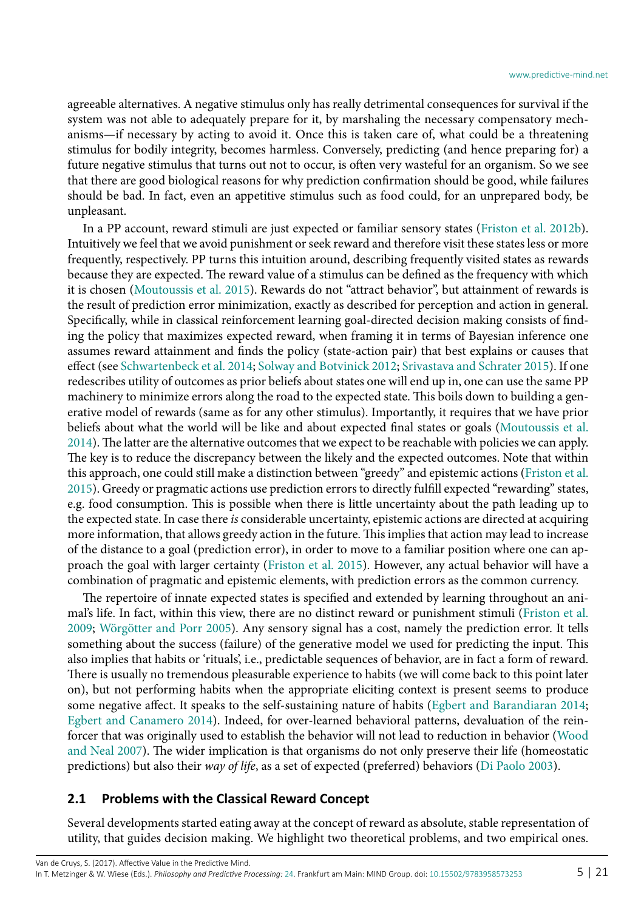agreeable alternatives. A negative stimulus only has really detrimental consequences for survival if the system was not able to adequately prepare for it, by marshaling the necessary compensatory mechanisms—if necessary by acting to avoid it. Once this is taken care of, what could be a threatening stimulus for bodily integrity, becomes harmless. Conversely, predicting (and hence preparing for) a future negative stimulus that turns out not to occur, is often very wasteful for an organism. So we see that there are good biological reasons for why prediction confirmation should be good, while failures should be bad. In fact, even an appetitive stimulus such as food could, for an unprepared body, be unpleasant.

In a PP account, reward stimuli are just expected or familiar sensory states ([Friston et al. 2012](#page-17-7)b). Intuitively we feel that we avoid punishment or seek reward and therefore visit these states less or more frequently, respectively. PP turns this intuition around, describing frequently visited states as rewards because they are expected. The reward value of a stimulus can be defined as the frequency with which it is chosen ([Moutoussis et al. 2015](#page-18-6)). Rewards do not "attract behavior", but attainment of rewards is the result of prediction error minimization, exactly as described for perception and action in general. Specifically, while in classical reinforcement learning goal-directed decision making consists of finding the policy that maximizes expected reward, when framing it in terms of Bayesian inference one assumes reward attainment and finds the policy (state-action pair) that best explains or causes that effect (see [Schwartenbeck et al. 2014;](#page-19-5) [Solway and Botvinick 2012;](#page-19-6) [Srivastava and Schrater 2015\)](#page-19-7). If one redescribes utility of outcomes as prior beliefs about states one will end up in, one can use the same PP machinery to minimize errors along the road to the expected state. This boils down to building a generative model of rewards (same as for any other stimulus). Importantly, it requires that we have prior beliefs about what the world will be like and about expected final states or goals [\(Moutoussis et al.](#page-18-7) [2014](#page-18-7)). The latter are the alternative outcomes that we expect to be reachable with policies we can apply. The key is to reduce the discrepancy between the likely and the expected outcomes. Note that within this approach, one could still make a distinction between "greedy" and epistemic actions [\(Friston et al.](#page-17-8) [2015](#page-17-8)). Greedy or pragmatic actions use prediction errors to directly fulfill expected "rewarding" states, e.g. food consumption. This is possible when there is little uncertainty about the path leading up to the expected state. In case there *is* considerable uncertainty, epistemic actions are directed at acquiring more information, that allows greedy action in the future. This implies that action may lead to increase of the distance to a goal (prediction error), in order to move to a familiar position where one can approach the goal with larger certainty ([Friston et al. 2015](#page-17-8)). However, any actual behavior will have a combination of pragmatic and epistemic elements, with prediction errors as the common currency.

The repertoire of innate expected states is specified and extended by learning throughout an animal's life. In fact, within this view, there are no distinct reward or punishment stimuli ([Friston et al.](#page-17-9) [2009](#page-17-9); [Wörgötter and Porr 2005\)](#page-20-2). Any sensory signal has a cost, namely the prediction error. It tells something about the success (failure) of the generative model we used for predicting the input. This also implies that habits or 'rituals', i.e., predictable sequences of behavior, are in fact a form of reward. There is usually no tremendous pleasurable experience to habits (we will come back to this point later on), but not performing habits when the appropriate eliciting context is present seems to produce some negative affect. It speaks to the self-sustaining nature of habits [\(Egbert and Barandiaran 2014;](#page-17-10) [Egbert and Canamero 2014\)](#page-17-11). Indeed, for over-learned behavioral patterns, devaluation of the reinforcer that was originally used to establish the behavior will not lead to reduction in behavior [\(Wood](#page-20-3) [and Neal 2007\)](#page-20-3). The wider implication is that organisms do not only preserve their life (homeostatic predictions) but also their *way of life*, as a set of expected (preferred) behaviors [\(Di Paolo 2003\)](#page-17-12).

#### **2.1 Problems with the Classical Reward Concept**

Several developments started eating away at the concept of reward as absolute, stable representation of utility, that guides decision making. We highlight two theoretical problems, and two empirical ones.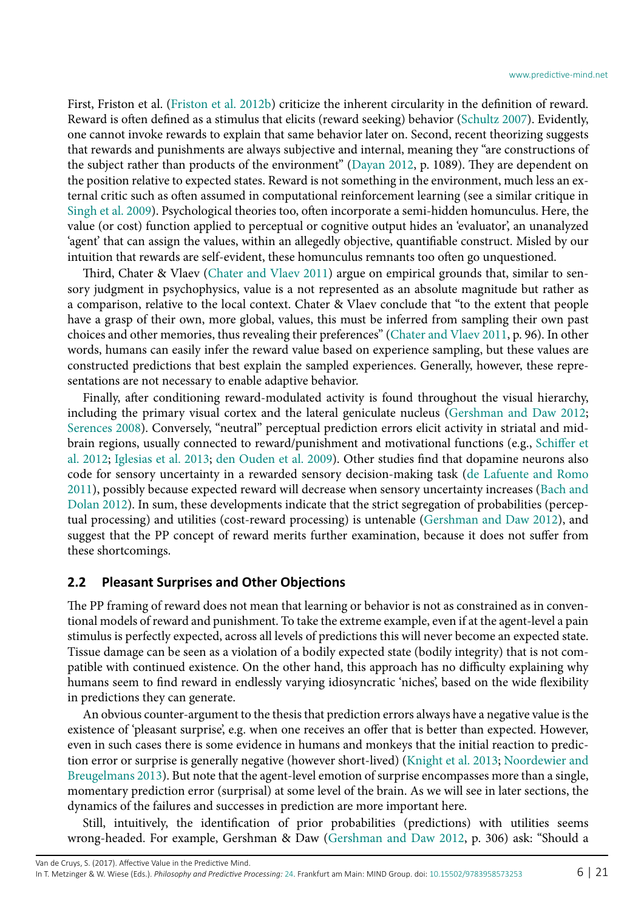First, Friston et al. ([Friston et al. 2012b](#page-17-7)) criticize the inherent circularity in the definition of reward. Reward is often defined as a stimulus that elicits (reward seeking) behavior [\(Schultz 2007](#page-19-8)). Evidently, one cannot invoke rewards to explain that same behavior later on. Second, recent theorizing suggests that rewards and punishments are always subjective and internal, meaning they "are constructions of the subject rather than products of the environment" [\(Dayan 2012,](#page-17-13) p. 1089). They are dependent on the position relative to expected states. Reward is not something in the environment, much less an external critic such as often assumed in computational reinforcement learning (see a similar critique in [Singh et al. 2009](#page-19-9)). Psychological theories too, often incorporate a semi-hidden homunculus. Here, the value (or cost) function applied to perceptual or cognitive output hides an 'evaluator', an unanalyzed 'agent' that can assign the values, within an allegedly objective, quantifiable construct. Misled by our intuition that rewards are self-evident, these homunculus remnants too often go unquestioned.

Third, Chater & Vlaev [\(Chater and Vlaev 2011\)](#page-16-5) argue on empirical grounds that, similar to sensory judgment in psychophysics, value is a not represented as an absolute magnitude but rather as a comparison, relative to the local context. Chater & Vlaev conclude that "to the extent that people have a grasp of their own, more global, values, this must be inferred from sampling their own past choices and other memories, thus revealing their preferences" ([Chater and Vlaev 2011,](#page-16-5) p. 96). In other words, humans can easily infer the reward value based on experience sampling, but these values are constructed predictions that best explain the sampled experiences. Generally, however, these representations are not necessary to enable adaptive behavior.

Finally, after conditioning reward-modulated activity is found throughout the visual hierarchy, including the primary visual cortex and the lateral geniculate nucleus [\(Gershman and Daw 2012;](#page-17-14) [Serences 2008](#page-19-10)). Conversely, "neutral" perceptual prediction errors elicit activity in striatal and midbrain regions, usually connected to reward/punishment and motivational functions (e.g., [Schiffer et](#page-19-11) [al. 2012;](#page-19-11) [Iglesias et al. 2013;](#page-18-8) [den Ouden et al. 2009](#page-17-15)). Other studies find that dopamine neurons also code for sensory uncertainty in a rewarded sensory decision-making task ([de Lafuente and Romo](#page-17-16) [2011](#page-17-16)), possibly because expected reward will decrease when sensory uncertainty increases ([Bach and](#page-16-6) [Dolan 2012\)](#page-16-6). In sum, these developments indicate that the strict segregation of probabilities (perceptual processing) and utilities (cost-reward processing) is untenable [\(Gershman and Daw 2012\)](#page-17-14), and suggest that the PP concept of reward merits further examination, because it does not suffer from these shortcomings.

#### **2.2 Pleasant Surprises and Other Objections**

The PP framing of reward does not mean that learning or behavior is not as constrained as in conventional models of reward and punishment. To take the extreme example, even if at the agent-level a pain stimulus is perfectly expected, across all levels of predictions this will never become an expected state. Tissue damage can be seen as a violation of a bodily expected state (bodily integrity) that is not compatible with continued existence. On the other hand, this approach has no difficulty explaining why humans seem to find reward in endlessly varying idiosyncratic 'niches', based on the wide flexibility in predictions they can generate.

An obvious counter-argument to the thesis that prediction errors always have a negative value is the existence of 'pleasant surprise', e.g. when one receives an offer that is better than expected. However, even in such cases there is some evidence in humans and monkeys that the initial reaction to prediction error or surprise is generally negative (however short-lived) [\(Knight et al. 2013](#page-18-9); [Noordewier and](#page-18-10) [Breugelmans 2013\)](#page-18-10). But note that the agent-level emotion of surprise encompasses more than a single, momentary prediction error (surprisal) at some level of the brain. As we will see in later sections, the dynamics of the failures and successes in prediction are more important here.

Still, intuitively, the identification of prior probabilities (predictions) with utilities seems wrong-headed. For example, Gershman & Daw [\(Gershman and Daw 2012](#page-17-14), p. 306) ask: "Should a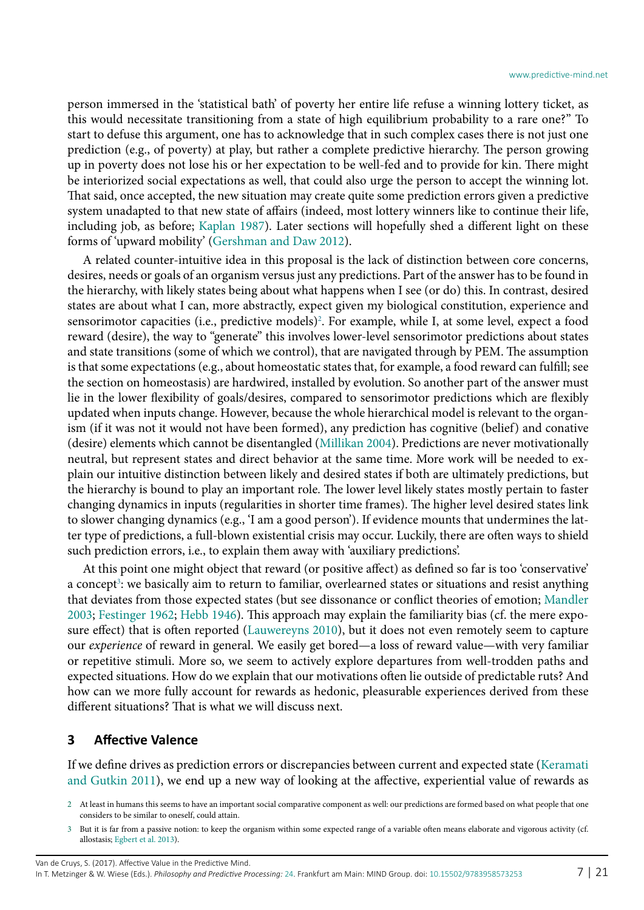person immersed in the 'statistical bath' of poverty her entire life refuse a winning lottery ticket, as this would necessitate transitioning from a state of high equilibrium probability to a rare one?" To start to defuse this argument, one has to acknowledge that in such complex cases there is not just one prediction (e.g., of poverty) at play, but rather a complete predictive hierarchy. The person growing up in poverty does not lose his or her expectation to be well-fed and to provide for kin. There might be interiorized social expectations as well, that could also urge the person to accept the winning lot. That said, once accepted, the new situation may create quite some prediction errors given a predictive system unadapted to that new state of affairs (indeed, most lottery winners like to continue their life, including job, as before; [Kaplan 1987\)](#page-18-11). Later sections will hopefully shed a different light on these forms of 'upward mobility' ([Gershman and Daw 2012](#page-17-14)).

A related counter-intuitive idea in this proposal is the lack of distinction between core concerns, desires, needs or goals of an organism versus just any predictions. Part of the answer has to be found in the hierarchy, with likely states being about what happens when I see (or do) this. In contrast, desired states are about what I can, more abstractly, expect given my biological constitution, experience and sensorimotor capacities (i.e., predictive models)<sup>2</sup>. For example, while I, at some level, expect a food reward (desire), the way to "generate" this involves lower-level sensorimotor predictions about states and state transitions (some of which we control), that are navigated through by PEM. The assumption is that some expectations (e.g., about homeostatic states that, for example, a food reward can fulfill; see the section on homeostasis) are hardwired, installed by evolution. So another part of the answer must lie in the lower flexibility of goals/desires, compared to sensorimotor predictions which are flexibly updated when inputs change. However, because the whole hierarchical model is relevant to the organism (if it was not it would not have been formed), any prediction has cognitive (belief) and conative (desire) elements which cannot be disentangled [\(Millikan 2004\)](#page-18-12). Predictions are never motivationally neutral, but represent states and direct behavior at the same time. More work will be needed to explain our intuitive distinction between likely and desired states if both are ultimately predictions, but the hierarchy is bound to play an important role. The lower level likely states mostly pertain to faster changing dynamics in inputs (regularities in shorter time frames). The higher level desired states link to slower changing dynamics (e.g., 'I am a good person'). If evidence mounts that undermines the latter type of predictions, a full-blown existential crisis may occur. Luckily, there are often ways to shield such prediction errors, i.e., to explain them away with 'auxiliary predictions'.

At this point one might object that reward (or positive affect) as defined so far is too 'conservative' a concept<sup>3</sup>: we basically aim to return to familiar, overlearned states or situations and resist anything that deviates from those expected states (but see dissonance or conflict theories of emotion; [Mandler](#page-18-13) [2003](#page-18-13); [Festinger 1962](#page-17-17); [Hebb 1946\)](#page-18-14). This approach may explain the familiarity bias (cf. the mere exposure effect) that is often reported ([Lauwereyns 2010](#page-18-15)), but it does not even remotely seem to capture our *experience* of reward in general. We easily get bored—a loss of reward value—with very familiar or repetitive stimuli. More so, we seem to actively explore departures from well-trodden paths and expected situations. How do we explain that our motivations often lie outside of predictable ruts? And how can we more fully account for rewards as hedonic, pleasurable experiences derived from these different situations? That is what we will discuss next.

#### **3 Affective Valence**

If we define drives as prediction errors or discrepancies between current and expected state ([Keramati](#page-18-16) [and Gutkin 2011](#page-18-16)), we end up a new way of looking at the affective, experiential value of rewards as

Van de Cruys, S. (2017). Affective Value in the Predictive Mind.

<span id="page-6-0"></span><sup>2</sup> At least in humans this seems to have an important social comparative component as well: our predictions are formed based on what people that one considers to be similar to oneself, could attain.

<span id="page-6-1"></span><sup>3</sup> But it is far from a passive notion: to keep the organism within some expected range of a variable often means elaborate and vigorous activity (cf. allostasis; [Egbert et al. 2013](#page-17-18)).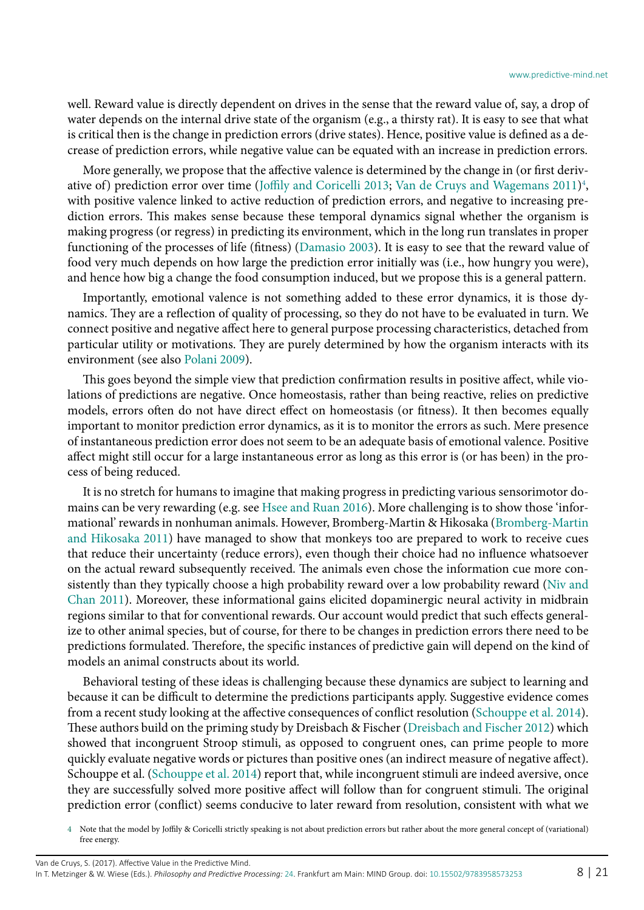well. Reward value is directly dependent on drives in the sense that the reward value of, say, a drop of water depends on the internal drive state of the organism (e.g., a thirsty rat). It is easy to see that what is critical then is the change in prediction errors (drive states). Hence, positive value is defined as a decrease of prediction errors, while negative value can be equated with an increase in prediction errors.

More generally, we propose that the affective valence is determined by the change in (or first deriv-ative of) prediction error over time ([Joffily and Coricelli 2013;](#page-18-17) [Van de Cruys and Wagemans 2011](#page-19-12))<sup>4</sup>, with positive valence linked to active reduction of prediction errors, and negative to increasing prediction errors. This makes sense because these temporal dynamics signal whether the organism is making progress (or regress) in predicting its environment, which in the long run translates in proper functioning of the processes of life (fitness) ([Damasio 2003\)](#page-17-19). It is easy to see that the reward value of food very much depends on how large the prediction error initially was (i.e., how hungry you were), and hence how big a change the food consumption induced, but we propose this is a general pattern.

Importantly, emotional valence is not something added to these error dynamics, it is those dynamics. They are a reflection of quality of processing, so they do not have to be evaluated in turn. We connect positive and negative affect here to general purpose processing characteristics, detached from particular utility or motivations. They are purely determined by how the organism interacts with its environment (see also [Polani 2009](#page-19-13)).

This goes beyond the simple view that prediction confirmation results in positive affect, while violations of predictions are negative. Once homeostasis, rather than being reactive, relies on predictive models, errors often do not have direct effect on homeostasis (or fitness). It then becomes equally important to monitor prediction error dynamics, as it is to monitor the errors as such. Mere presence of instantaneous prediction error does not seem to be an adequate basis of emotional valence. Positive affect might still occur for a large instantaneous error as long as this error is (or has been) in the process of being reduced.

It is no stretch for humans to imagine that making progress in predicting various sensorimotor domains can be very rewarding (e.g. see [Hsee and Ruan 2016\)](#page-18-18). More challenging is to show those 'informational' rewards in nonhuman animals. However, Bromberg-Martin & Hikosaka [\(Bromberg-Martin](#page-16-7) [and Hikosaka 2011\)](#page-16-7) have managed to show that monkeys too are prepared to work to receive cues that reduce their uncertainty (reduce errors), even though their choice had no influence whatsoever on the actual reward subsequently received. The animals even chose the information cue more consistently than they typically choose a high probability reward over a low probability reward ([Niv and](#page-18-19) [Chan 2011](#page-18-19)). Moreover, these informational gains elicited dopaminergic neural activity in midbrain regions similar to that for conventional rewards. Our account would predict that such effects generalize to other animal species, but of course, for there to be changes in prediction errors there need to be predictions formulated. Therefore, the specific instances of predictive gain will depend on the kind of models an animal constructs about its world.

Behavioral testing of these ideas is challenging because these dynamics are subject to learning and because it can be difficult to determine the predictions participants apply. Suggestive evidence comes from a recent study looking at the affective consequences of conflict resolution [\(Schouppe et al. 2014](#page-19-14)). These authors build on the priming study by Dreisbach & Fischer ([Dreisbach and Fischer 2012](#page-17-20)) which showed that incongruent Stroop stimuli, as opposed to congruent ones, can prime people to more quickly evaluate negative words or pictures than positive ones (an indirect measure of negative affect). Schouppe et al. ([Schouppe et al. 2014\)](#page-19-14) report that, while incongruent stimuli are indeed aversive, once they are successfully solved more positive affect will follow than for congruent stimuli. The original prediction error (conflict) seems conducive to later reward from resolution, consistent with what we

<span id="page-7-0"></span>4 Note that the model by Joffily & Coricelli strictly speaking is not about prediction errors but rather about the more general concept of (variational) free energy.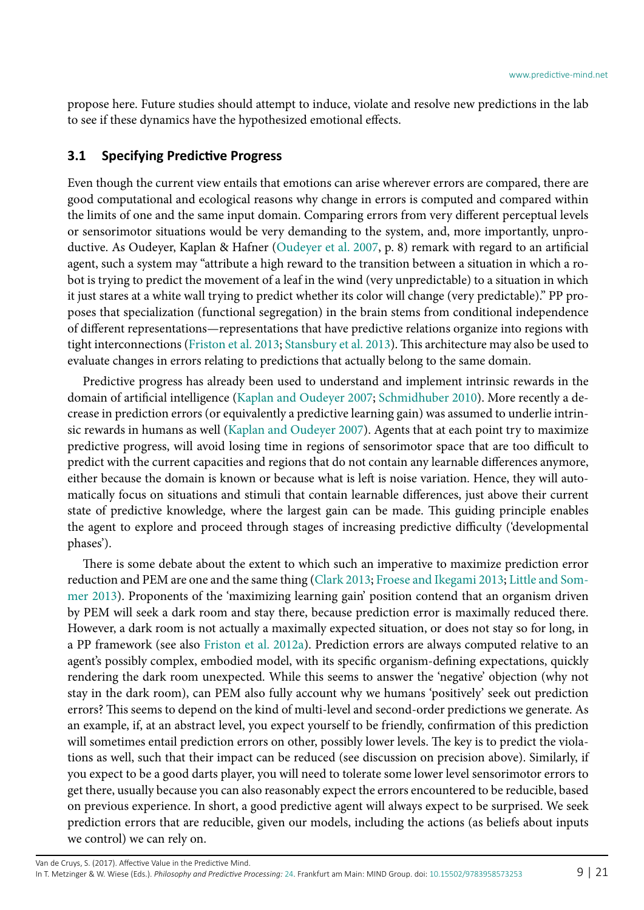propose here. Future studies should attempt to induce, violate and resolve new predictions in the lab to see if these dynamics have the hypothesized emotional effects.

#### **3.1 Specifying Predictive Progress**

Even though the current view entails that emotions can arise wherever errors are compared, there are good computational and ecological reasons why change in errors is computed and compared within the limits of one and the same input domain. Comparing errors from very different perceptual levels or sensorimotor situations would be very demanding to the system, and, more importantly, unproductive. As Oudeyer, Kaplan & Hafner ([Oudeyer et al. 2007,](#page-18-20) p. 8) remark with regard to an artificial agent, such a system may "attribute a high reward to the transition between a situation in which a robot is trying to predict the movement of a leaf in the wind (very unpredictable) to a situation in which it just stares at a white wall trying to predict whether its color will change (very predictable)." PP proposes that specialization (functional segregation) in the brain stems from conditional independence of different representations—representations that have predictive relations organize into regions with tight interconnections [\(Friston et al. 2013](#page-17-21); [Stansbury et al. 2013](#page-19-15)). This architecture may also be used to evaluate changes in errors relating to predictions that actually belong to the same domain.

Predictive progress has already been used to understand and implement intrinsic rewards in the domain of artificial intelligence [\(Kaplan and Oudeyer 2007;](#page-18-21) [Schmidhuber 2010](#page-19-16)). More recently a decrease in prediction errors (or equivalently a predictive learning gain) was assumed to underlie intrinsic rewards in humans as well ([Kaplan and Oudeyer 2007](#page-18-21)). Agents that at each point try to maximize predictive progress, will avoid losing time in regions of sensorimotor space that are too difficult to predict with the current capacities and regions that do not contain any learnable differences anymore, either because the domain is known or because what is left is noise variation. Hence, they will automatically focus on situations and stimuli that contain learnable differences, just above their current state of predictive knowledge, where the largest gain can be made. This guiding principle enables the agent to explore and proceed through stages of increasing predictive difficulty ('developmental phases').

There is some debate about the extent to which such an imperative to maximize prediction error reduction and PEM are one and the same thing ([Clark 2013;](#page-16-0) [Froese and Ikegami 2013;](#page-17-22) [Little and Som](#page-18-22)[mer 2013](#page-18-22)). Proponents of the 'maximizing learning gain' position contend that an organism driven by PEM will seek a dark room and stay there, because prediction error is maximally reduced there. However, a dark room is not actually a maximally expected situation, or does not stay so for long, in a PP framework (see also [Friston et al. 2012a](#page-17-6)). Prediction errors are always computed relative to an agent's possibly complex, embodied model, with its specific organism-defining expectations, quickly rendering the dark room unexpected. While this seems to answer the 'negative' objection (why not stay in the dark room), can PEM also fully account why we humans 'positively' seek out prediction errors? This seems to depend on the kind of multi-level and second-order predictions we generate. As an example, if, at an abstract level, you expect yourself to be friendly, confirmation of this prediction will sometimes entail prediction errors on other, possibly lower levels. The key is to predict the violations as well, such that their impact can be reduced (see discussion on precision above). Similarly, if you expect to be a good darts player, you will need to tolerate some lower level sensorimotor errors to get there, usually because you can also reasonably expect the errors encountered to be reducible, based on previous experience. In short, a good predictive agent will always expect to be surprised. We seek prediction errors that are reducible, given our models, including the actions (as beliefs about inputs we control) we can rely on.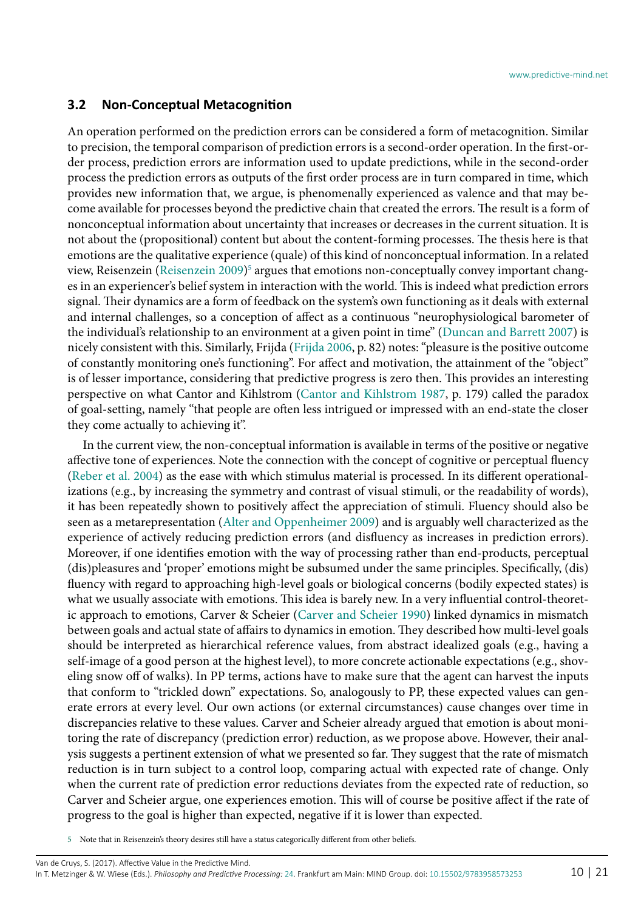#### **3.2 Non-Conceptual Metacognition**

An operation performed on the prediction errors can be considered a form of metacognition. Similar to precision, the temporal comparison of prediction errors is a second-order operation. In the first-order process, prediction errors are information used to update predictions, while in the second-order process the prediction errors as outputs of the first order process are in turn compared in time, which provides new information that, we argue, is phenomenally experienced as valence and that may become available for processes beyond the predictive chain that created the errors. The result is a form of nonconceptual information about uncertainty that increases or decreases in the current situation. It is not about the (propositional) content but about the content-forming processes. The thesis here is that emotions are the qualitative experience (quale) of this kind of nonconceptual information. In a related view, Reisenzein ([Reisenzein 2009](#page-19-17)) $^{\rm 5}$  argues that emotions non-conceptually convey important changes in an experiencer's belief system in interaction with the world. This is indeed what prediction errors signal. Their dynamics are a form of feedback on the system's own functioning as it deals with external and internal challenges, so a conception of affect as a continuous "neurophysiological barometer of the individual's relationship to an environment at a given point in time" [\(Duncan and Barrett 2007\)](#page-17-23) is nicely consistent with this. Similarly, Frijda ([Frijda 2006](#page-17-24), p. 82) notes: "pleasure is the positive outcome of constantly monitoring one's functioning". For affect and motivation, the attainment of the "object" is of lesser importance, considering that predictive progress is zero then. This provides an interesting perspective on what Cantor and Kihlstrom ([Cantor and Kihlstrom 1987,](#page-16-8) p. 179) called the paradox of goal-setting, namely "that people are often less intrigued or impressed with an end-state the closer they come actually to achieving it".

In the current view, the non-conceptual information is available in terms of the positive or negative affective tone of experiences. Note the connection with the concept of cognitive or perceptual fluency ([Reber et al. 2004\)](#page-19-18) as the ease with which stimulus material is processed. In its different operationalizations (e.g., by increasing the symmetry and contrast of visual stimuli, or the readability of words), it has been repeatedly shown to positively affect the appreciation of stimuli. Fluency should also be seen as a metarepresentation [\(Alter and Oppenheimer 2009\)](#page-16-9) and is arguably well characterized as the experience of actively reducing prediction errors (and disfluency as increases in prediction errors). Moreover, if one identifies emotion with the way of processing rather than end-products, perceptual (dis)pleasures and 'proper' emotions might be subsumed under the same principles. Specifically, (dis) fluency with regard to approaching high-level goals or biological concerns (bodily expected states) is what we usually associate with emotions. This idea is barely new. In a very influential control-theoretic approach to emotions, Carver & Scheier [\(Carver and Scheier 1990](#page-16-3)) linked dynamics in mismatch between goals and actual state of affairs to dynamics in emotion. They described how multi-level goals should be interpreted as hierarchical reference values, from abstract idealized goals (e.g., having a self-image of a good person at the highest level), to more concrete actionable expectations (e.g., shoveling snow off of walks). In PP terms, actions have to make sure that the agent can harvest the inputs that conform to "trickled down" expectations. So, analogously to PP, these expected values can generate errors at every level. Our own actions (or external circumstances) cause changes over time in discrepancies relative to these values. Carver and Scheier already argued that emotion is about monitoring the rate of discrepancy (prediction error) reduction, as we propose above. However, their analysis suggests a pertinent extension of what we presented so far. They suggest that the rate of mismatch reduction is in turn subject to a control loop, comparing actual with expected rate of change. Only when the current rate of prediction error reductions deviates from the expected rate of reduction, so Carver and Scheier argue, one experiences emotion. This will of course be positive affect if the rate of progress to the goal is higher than expected, negative if it is lower than expected.

<span id="page-9-0"></span>5 Note that in Reisenzein's theory desires still have a status categorically different from other beliefs.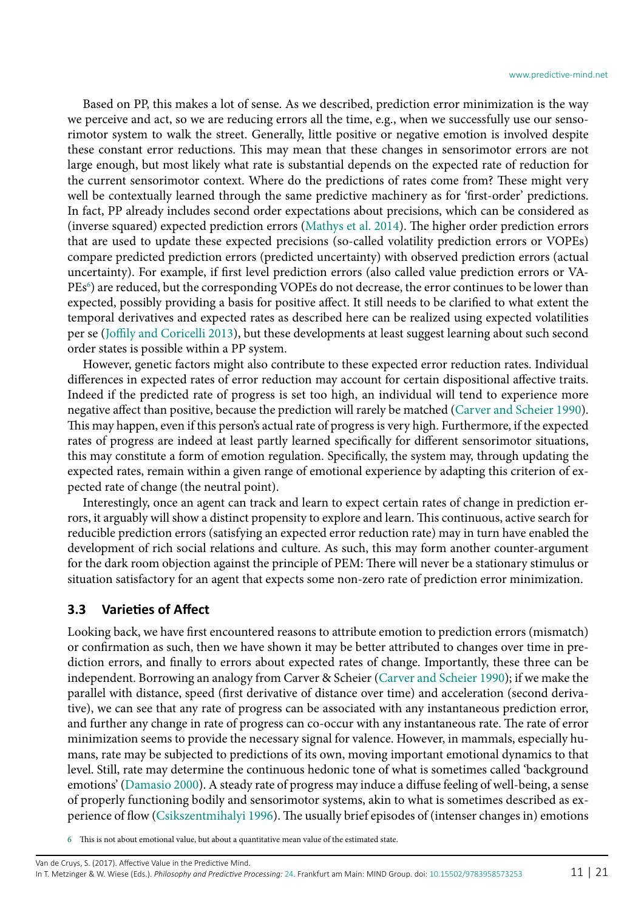Based on PP, this makes a lot of sense. As we described, prediction error minimization is the way we perceive and act, so we are reducing errors all the time, e.g., when we successfully use our sensorimotor system to walk the street. Generally, little positive or negative emotion is involved despite these constant error reductions. This may mean that these changes in sensorimotor errors are not large enough, but most likely what rate is substantial depends on the expected rate of reduction for the current sensorimotor context. Where do the predictions of rates come from? These might very well be contextually learned through the same predictive machinery as for 'first-order' predictions. In fact, PP already includes second order expectations about precisions, which can be considered as (inverse squared) expected prediction errors [\(Mathys et al. 2014](#page-18-23)). The higher order prediction errors that are used to update these expected precisions (so-called volatility prediction errors or VOPEs) compare predicted prediction errors (predicted uncertainty) with observed prediction errors (actual uncertainty). For example, if first level prediction errors (also called value prediction errors or VA-PEs<sup>6</sup>) are reduced, but the corresponding VOPEs do not decrease, the error continues to be lower than expected, possibly providing a basis for positive affect. It still needs to be clarified to what extent the temporal derivatives and expected rates as described here can be realized using expected volatilities per se ([Joffily and Coricelli 2013\)](#page-18-17), but these developments at least suggest learning about such second order states is possible within a PP system.

However, genetic factors might also contribute to these expected error reduction rates. Individual differences in expected rates of error reduction may account for certain dispositional affective traits. Indeed if the predicted rate of progress is set too high, an individual will tend to experience more negative affect than positive, because the prediction will rarely be matched ([Carver and Scheier 1990](#page-16-3)). This may happen, even if this person's actual rate of progress is very high. Furthermore, if the expected rates of progress are indeed at least partly learned specifically for different sensorimotor situations, this may constitute a form of emotion regulation. Specifically, the system may, through updating the expected rates, remain within a given range of emotional experience by adapting this criterion of expected rate of change (the neutral point).

Interestingly, once an agent can track and learn to expect certain rates of change in prediction errors, it arguably will show a distinct propensity to explore and learn. This continuous, active search for reducible prediction errors (satisfying an expected error reduction rate) may in turn have enabled the development of rich social relations and culture. As such, this may form another counter-argument for the dark room objection against the principle of PEM: There will never be a stationary stimulus or situation satisfactory for an agent that expects some non-zero rate of prediction error minimization.

#### **3.3 Varieties of Affect**

Looking back, we have first encountered reasons to attribute emotion to prediction errors (mismatch) or confirmation as such, then we have shown it may be better attributed to changes over time in prediction errors, and finally to errors about expected rates of change. Importantly, these three can be independent. Borrowing an analogy from Carver & Scheier [\(Carver and Scheier 1990\)](#page-16-3); if we make the parallel with distance, speed (first derivative of distance over time) and acceleration (second derivative), we can see that any rate of progress can be associated with any instantaneous prediction error, and further any change in rate of progress can co-occur with any instantaneous rate. The rate of error minimization seems to provide the necessary signal for valence. However, in mammals, especially humans, rate may be subjected to predictions of its own, moving important emotional dynamics to that level. Still, rate may determine the continuous hedonic tone of what is sometimes called 'background emotions' ([Damasio 2000\)](#page-17-25). A steady rate of progress may induce a diffuse feeling of well-being, a sense of properly functioning bodily and sensorimotor systems, akin to what is sometimes described as experience of flow [\(Csikszentmihalyi 1996\)](#page-16-10). The usually brief episodes of (intenser changes in) emotions

<span id="page-10-0"></span><sup>6</sup> This is not about emotional value, but about a quantitative mean value of the estimated state.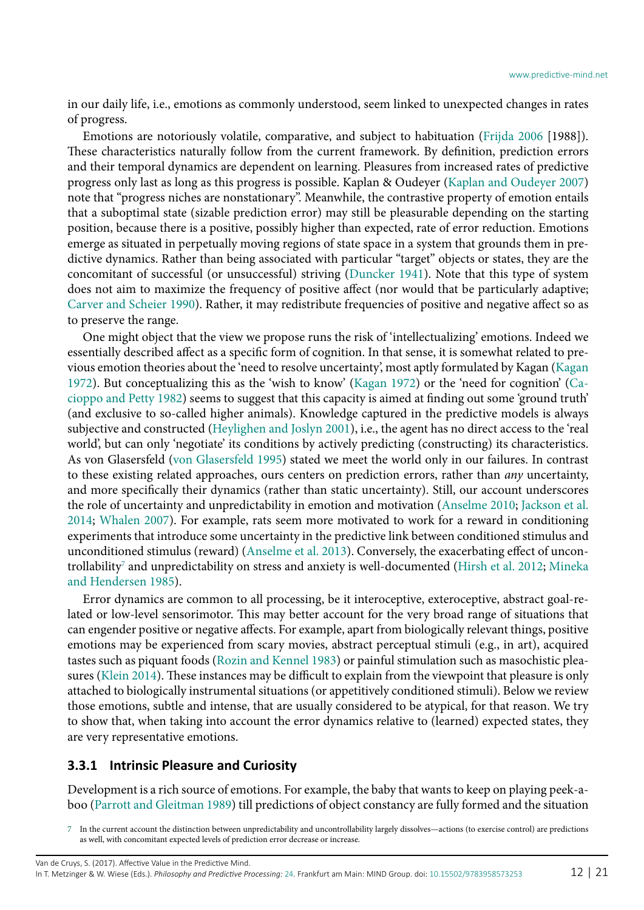in our daily life, i.e., emotions as commonly understood, seem linked to unexpected changes in rates of progress.

Emotions are notoriously volatile, comparative, and subject to habituation ([Frijda 2006](#page-17-24) [1988]). These characteristics naturally follow from the current framework. By definition, prediction errors and their temporal dynamics are dependent on learning. Pleasures from increased rates of predictive progress only last as long as this progress is possible. Kaplan & Oudeyer [\(Kaplan and Oudeyer 2007](#page-18-21)) note that "progress niches are nonstationary". Meanwhile, the contrastive property of emotion entails that a suboptimal state (sizable prediction error) may still be pleasurable depending on the starting position, because there is a positive, possibly higher than expected, rate of error reduction. Emotions emerge as situated in perpetually moving regions of state space in a system that grounds them in predictive dynamics. Rather than being associated with particular "target" objects or states, they are the concomitant of successful (or unsuccessful) striving ([Duncker 1941\)](#page-17-26). Note that this type of system does not aim to maximize the frequency of positive affect (nor would that be particularly adaptive; [Carver and Scheier 1990](#page-16-3)). Rather, it may redistribute frequencies of positive and negative affect so as to preserve the range.

One might object that the view we propose runs the risk of 'intellectualizing' emotions. Indeed we essentially described affect as a specific form of cognition. In that sense, it is somewhat related to previous emotion theories about the 'need to resolve uncertainty', most aptly formulated by Kagan ([Kagan](#page-18-24) [1972](#page-18-24)). But conceptualizing this as the 'wish to know' [\(Kagan 1972](#page-18-24)) or the 'need for cognition' ([Ca](#page-16-11)[cioppo and Petty 1982\)](#page-16-11) seems to suggest that this capacity is aimed at finding out some 'ground truth' (and exclusive to so-called higher animals). Knowledge captured in the predictive models is always subjective and constructed [\(Heylighen and Joslyn 2001\)](#page-18-4), i.e., the agent has no direct access to the 'real world', but can only 'negotiate' its conditions by actively predicting (constructing) its characteristics. As von Glasersfeld [\(von Glasersfeld 1995\)](#page-19-19) stated we meet the world only in our failures. In contrast to these existing related approaches, ours centers on prediction errors, rather than *any* uncertainty, and more specifically their dynamics (rather than static uncertainty). Still, our account underscores the role of uncertainty and unpredictability in emotion and motivation [\(Anselme 2010](#page-16-12); [Jackson et al.](#page-18-25) [2014](#page-18-25); [Whalen 2007](#page-20-4)). For example, rats seem more motivated to work for a reward in conditioning experiments that introduce some uncertainty in the predictive link between conditioned stimulus and unconditioned stimulus (reward) ([Anselme et al. 2013\)](#page-16-13). Conversely, the exacerbating effect of uncontrollability $^{\prime}$  and unpredictability on stress and anxiety is well-documented [\(Hirsh et al. 2012](#page-18-26); [Mineka](#page-18-27) [and Hendersen 1985](#page-18-27)).

Error dynamics are common to all processing, be it interoceptive, exteroceptive, abstract goal-related or low-level sensorimotor. This may better account for the very broad range of situations that can engender positive or negative affects. For example, apart from biologically relevant things, positive emotions may be experienced from scary movies, abstract perceptual stimuli (e.g., in art), acquired tastes such as piquant foods [\(Rozin and Kennel 1983](#page-19-20)) or painful stimulation such as masochistic pleasures [\(Klein 2014\)](#page-18-28). These instances may be difficult to explain from the viewpoint that pleasure is only attached to biologically instrumental situations (or appetitively conditioned stimuli). Below we review those emotions, subtle and intense, that are usually considered to be atypical, for that reason. We try to show that, when taking into account the error dynamics relative to (learned) expected states, they are very representative emotions.

#### **3.3.1 Intrinsic Pleasure and Curiosity**

Development is a rich source of emotions. For example, the baby that wants to keep on playing peek-aboo [\(Parrott and Gleitman 1989](#page-19-21)) till predictions of object constancy are fully formed and the situation

<span id="page-11-0"></span><sup>7</sup> In the current account the distinction between unpredictability and uncontrollability largely dissolves—actions (to exercise control) are predictions as well, with concomitant expected levels of prediction error decrease or increase.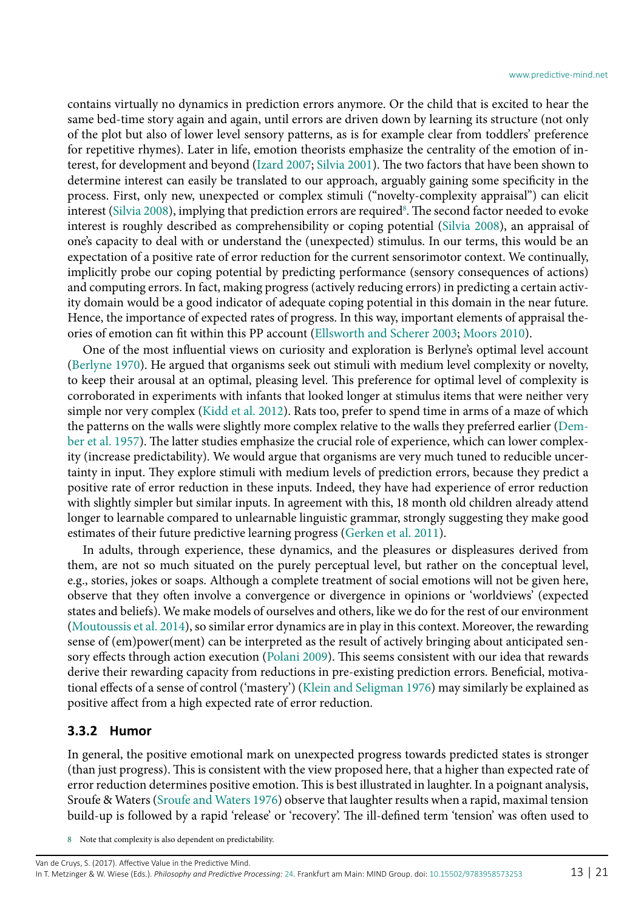contains virtually no dynamics in prediction errors anymore. Or the child that is excited to hear the same bed-time story again and again, until errors are driven down by learning its structure (not only of the plot but also of lower level sensory patterns, as is for example clear from toddlers' preference for repetitive rhymes). Later in life, emotion theorists emphasize the centrality of the emotion of interest, for development and beyond [\(Izard 2007;](#page-18-29) [Silvia 2001](#page-19-22)). The two factors that have been shown to determine interest can easily be translated to our approach, arguably gaining some specificity in the process. First, only new, unexpected or complex stimuli ("novelty-complexity appraisal") can elicit interest ([Silvia 2008\)](#page-19-23), implying that prediction errors are required $^8$ . The second factor needed to evoke interest is roughly described as comprehensibility or coping potential [\(Silvia 2008\)](#page-19-23), an appraisal of one's capacity to deal with or understand the (unexpected) stimulus. In our terms, this would be an expectation of a positive rate of error reduction for the current sensorimotor context. We continually, implicitly probe our coping potential by predicting performance (sensory consequences of actions) and computing errors. In fact, making progress (actively reducing errors) in predicting a certain activity domain would be a good indicator of adequate coping potential in this domain in the near future. Hence, the importance of expected rates of progress. In this way, important elements of appraisal theories of emotion can fit within this PP account [\(Ellsworth and Scherer 2003;](#page-17-27) [Moors 2010](#page-18-0)).

One of the most influential views on curiosity and exploration is Berlyne's optimal level account ([Berlyne 1970](#page-16-14)). He argued that organisms seek out stimuli with medium level complexity or novelty, to keep their arousal at an optimal, pleasing level. This preference for optimal level of complexity is corroborated in experiments with infants that looked longer at stimulus items that were neither very simple nor very complex [\(Kidd et al. 2012](#page-18-30)). Rats too, prefer to spend time in arms of a maze of which the patterns on the walls were slightly more complex relative to the walls they preferred earlier [\(Dem](#page-17-28)[ber et al. 1957\)](#page-17-28). The latter studies emphasize the crucial role of experience, which can lower complexity (increase predictability). We would argue that organisms are very much tuned to reducible uncertainty in input. They explore stimuli with medium levels of prediction errors, because they predict a positive rate of error reduction in these inputs. Indeed, they have had experience of error reduction with slightly simpler but similar inputs. In agreement with this, 18 month old children already attend longer to learnable compared to unlearnable linguistic grammar, strongly suggesting they make good estimates of their future predictive learning progress [\(Gerken et al. 2011\)](#page-17-29).

In adults, through experience, these dynamics, and the pleasures or displeasures derived from them, are not so much situated on the purely perceptual level, but rather on the conceptual level, e.g., stories, jokes or soaps. Although a complete treatment of social emotions will not be given here, observe that they often involve a convergence or divergence in opinions or 'worldviews' (expected states and beliefs). We make models of ourselves and others, like we do for the rest of our environment ([Moutoussis et al. 2014\)](#page-18-7), so similar error dynamics are in play in this context. Moreover, the rewarding sense of (em)power(ment) can be interpreted as the result of actively bringing about anticipated sensory effects through action execution ([Polani 2009\)](#page-19-13). This seems consistent with our idea that rewards derive their rewarding capacity from reductions in pre-existing prediction errors. Beneficial, motivational effects of a sense of control ('mastery') ([Klein and Seligman 1976\)](#page-18-31) may similarly be explained as positive affect from a high expected rate of error reduction.

#### **3.3.2 Humor**

In general, the positive emotional mark on unexpected progress towards predicted states is stronger (than just progress). This is consistent with the view proposed here, that a higher than expected rate of error reduction determines positive emotion. This is best illustrated in laughter. In a poignant analysis, Sroufe & Waters [\(Sroufe and Waters 1976\)](#page-19-24) observe that laughter results when a rapid, maximal tension build-up is followed by a rapid 'release' or 'recovery'. The ill-defined term 'tension' was often used to

<span id="page-12-0"></span>8 Note that complexity is also dependent on predictability.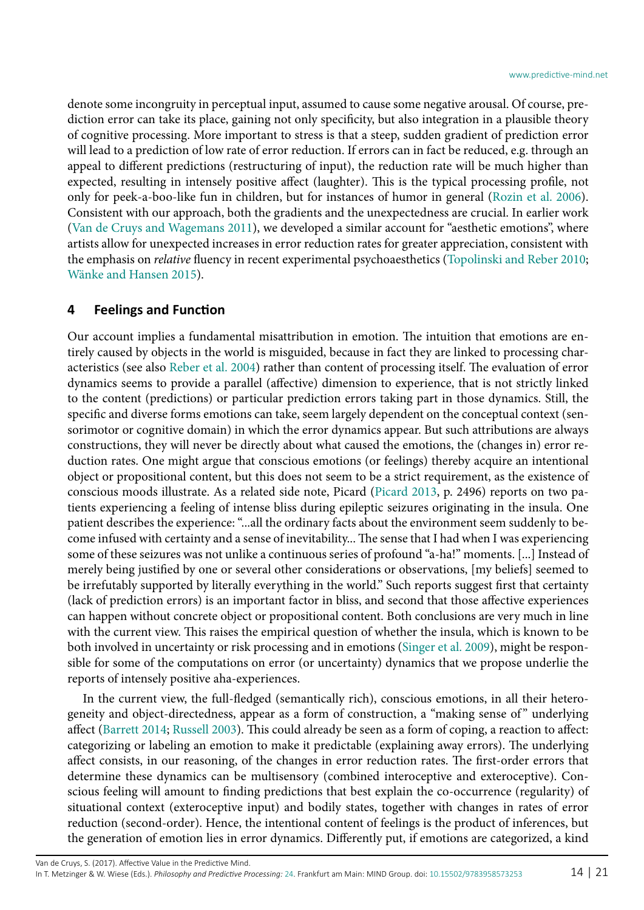denote some incongruity in perceptual input, assumed to cause some negative arousal. Of course, prediction error can take its place, gaining not only specificity, but also integration in a plausible theory of cognitive processing. More important to stress is that a steep, sudden gradient of prediction error will lead to a prediction of low rate of error reduction. If errors can in fact be reduced, e.g. through an appeal to different predictions (restructuring of input), the reduction rate will be much higher than expected, resulting in intensely positive affect (laughter). This is the typical processing profile, not only for peek-a-boo-like fun in children, but for instances of humor in general [\(Rozin et al. 2006](#page-19-25)). Consistent with our approach, both the gradients and the unexpectedness are crucial. In earlier work ([Van de Cruys and Wagemans 2011\)](#page-19-12), we developed a similar account for "aesthetic emotions", where artists allow for unexpected increases in error reduction rates for greater appreciation, consistent with the emphasis on *relative* fluency in recent experimental psychoaesthetics (Topolinski and Reber 2010; [Wänke and Hansen 2015\)](#page-20-5).

#### **4 Feelings and Function**

Our account implies a fundamental misattribution in emotion. The intuition that emotions are entirely caused by objects in the world is misguided, because in fact they are linked to processing characteristics (see also [Reber et al. 2004](#page-19-18)) rather than content of processing itself. The evaluation of error dynamics seems to provide a parallel (affective) dimension to experience, that is not strictly linked to the content (predictions) or particular prediction errors taking part in those dynamics. Still, the specific and diverse forms emotions can take, seem largely dependent on the conceptual context (sensorimotor or cognitive domain) in which the error dynamics appear. But such attributions are always constructions, they will never be directly about what caused the emotions, the (changes in) error reduction rates. One might argue that conscious emotions (or feelings) thereby acquire an intentional object or propositional content, but this does not seem to be a strict requirement, as the existence of conscious moods illustrate. As a related side note, Picard ([Picard 2013,](#page-19-26) p. 2496) reports on two patients experiencing a feeling of intense bliss during epileptic seizures originating in the insula. One patient describes the experience: "...all the ordinary facts about the environment seem suddenly to become infused with certainty and a sense of inevitability... The sense that I had when I was experiencing some of these seizures was not unlike a continuous series of profound "a-ha!" moments. [...] Instead of merely being justified by one or several other considerations or observations, [my beliefs] seemed to be irrefutably supported by literally everything in the world." Such reports suggest first that certainty (lack of prediction errors) is an important factor in bliss, and second that those affective experiences can happen without concrete object or propositional content. Both conclusions are very much in line with the current view. This raises the empirical question of whether the insula, which is known to be both involved in uncertainty or risk processing and in emotions [\(Singer et al. 2009\)](#page-19-27), might be responsible for some of the computations on error (or uncertainty) dynamics that we propose underlie the reports of intensely positive aha-experiences.

In the current view, the full-fledged (semantically rich), conscious emotions, in all their heterogeneity and object-directedness, appear as a form of construction, a "making sense of" underlying affect ([Barrett 2014](#page-16-2); [Russell 2003\)](#page-19-1). This could already be seen as a form of coping, a reaction to affect: categorizing or labeling an emotion to make it predictable (explaining away errors). The underlying affect consists, in our reasoning, of the changes in error reduction rates. The first-order errors that determine these dynamics can be multisensory (combined interoceptive and exteroceptive). Conscious feeling will amount to finding predictions that best explain the co-occurrence (regularity) of situational context (exteroceptive input) and bodily states, together with changes in rates of error reduction (second-order). Hence, the intentional content of feelings is the product of inferences, but the generation of emotion lies in error dynamics. Differently put, if emotions are categorized, a kind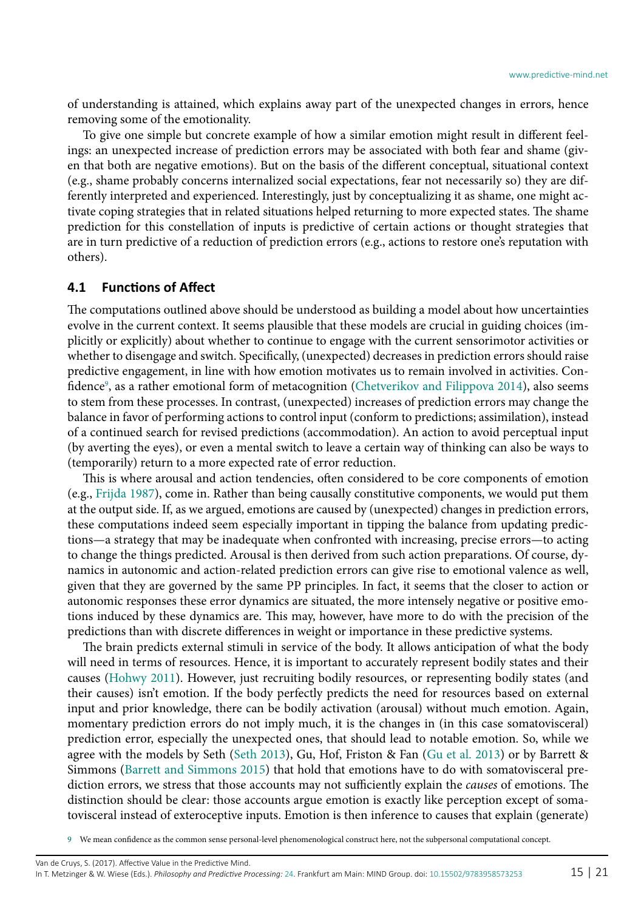of understanding is attained, which explains away part of the unexpected changes in errors, hence removing some of the emotionality.

To give one simple but concrete example of how a similar emotion might result in different feelings: an unexpected increase of prediction errors may be associated with both fear and shame (given that both are negative emotions). But on the basis of the different conceptual, situational context (e.g., shame probably concerns internalized social expectations, fear not necessarily so) they are differently interpreted and experienced. Interestingly, just by conceptualizing it as shame, one might activate coping strategies that in related situations helped returning to more expected states. The shame prediction for this constellation of inputs is predictive of certain actions or thought strategies that are in turn predictive of a reduction of prediction errors (e.g., actions to restore one's reputation with others).

#### **4.1 Functions of Affect**

The computations outlined above should be understood as building a model about how uncertainties evolve in the current context. It seems plausible that these models are crucial in guiding choices (implicitly or explicitly) about whether to continue to engage with the current sensorimotor activities or whether to disengage and switch. Specifically, (unexpected) decreases in prediction errors should raise predictive engagement, in line with how emotion motivates us to remain involved in activities. Con-fidence<sup>[9](#page-14-0)</sup>, as a rather emotional form of metacognition ([Chetverikov and Filippova 2014](#page-16-15)), also seems to stem from these processes. In contrast, (unexpected) increases of prediction errors may change the balance in favor of performing actions to control input (conform to predictions; assimilation), instead of a continued search for revised predictions (accommodation). An action to avoid perceptual input (by averting the eyes), or even a mental switch to leave a certain way of thinking can also be ways to (temporarily) return to a more expected rate of error reduction.

This is where arousal and action tendencies, often considered to be core components of emotion (e.g., [Frijda 1987\)](#page-17-30), come in. Rather than being causally constitutive components, we would put them at the output side. If, as we argued, emotions are caused by (unexpected) changes in prediction errors, these computations indeed seem especially important in tipping the balance from updating predictions—a strategy that may be inadequate when confronted with increasing, precise errors—to acting to change the things predicted. Arousal is then derived from such action preparations. Of course, dynamics in autonomic and action-related prediction errors can give rise to emotional valence as well, given that they are governed by the same PP principles. In fact, it seems that the closer to action or autonomic responses these error dynamics are situated, the more intensely negative or positive emotions induced by these dynamics are. This may, however, have more to do with the precision of the predictions than with discrete differences in weight or importance in these predictive systems.

The brain predicts external stimuli in service of the body. It allows anticipation of what the body will need in terms of resources. Hence, it is important to accurately represent bodily states and their causes ([Hohwy 2011](#page-18-32)). However, just recruiting bodily resources, or representing bodily states (and their causes) isn't emotion. If the body perfectly predicts the need for resources based on external input and prior knowledge, there can be bodily activation (arousal) without much emotion. Again, momentary prediction errors do not imply much, it is the changes in (in this case somatovisceral) prediction error, especially the unexpected ones, that should lead to notable emotion. So, while we agree with the models by Seth [\(Seth 2013\)](#page-19-0), Gu, Hof, Friston & Fan ([Gu et al. 2013\)](#page-18-33) or by Barrett & Simmons [\(Barrett and Simmons 2015](#page-16-1)) that hold that emotions have to do with somatovisceral prediction errors, we stress that those accounts may not sufficiently explain the *causes* of emotions. The distinction should be clear: those accounts argue emotion is exactly like perception except of somatovisceral instead of exteroceptive inputs. Emotion is then inference to causes that explain (generate)

<span id="page-14-0"></span>9 We mean confidence as the common sense personal-level phenomenological construct here, not the subpersonal computational concept.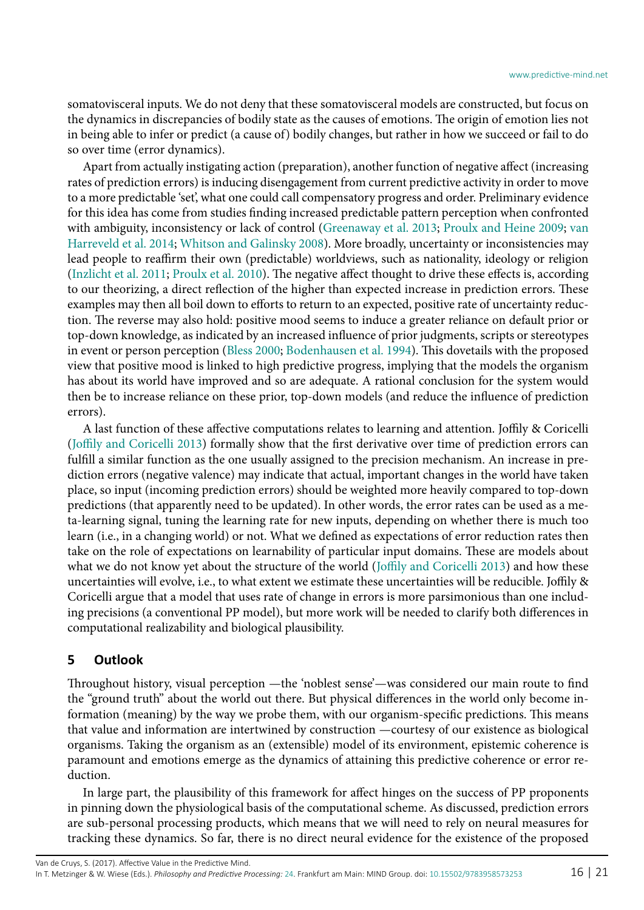somatovisceral inputs. We do not deny that these somatovisceral models are constructed, but focus on the dynamics in discrepancies of bodily state as the causes of emotions. The origin of emotion lies not in being able to infer or predict (a cause of) bodily changes, but rather in how we succeed or fail to do so over time (error dynamics).

Apart from actually instigating action (preparation), another function of negative affect (increasing rates of prediction errors) is inducing disengagement from current predictive activity in order to move to a more predictable 'set', what one could call compensatory progress and order. Preliminary evidence for this idea has come from studies finding increased predictable pattern perception when confronted with ambiguity, inconsistency or lack of control ([Greenaway et al. 2013](#page-17-31); [Proulx and Heine 2009](#page-19-28); [van](#page-19-29) [Harreveld et al. 2014](#page-19-29); [Whitson and Galinsky 2008](#page-20-6)). More broadly, uncertainty or inconsistencies may lead people to reaffirm their own (predictable) worldviews, such as nationality, ideology or religion ([Inzlicht et al. 2011](#page-18-34); [Proulx et al. 2010](#page-19-30)). The negative affect thought to drive these effects is, according to our theorizing, a direct reflection of the higher than expected increase in prediction errors. These examples may then all boil down to efforts to return to an expected, positive rate of uncertainty reduction. The reverse may also hold: positive mood seems to induce a greater reliance on default prior or top-down knowledge, as indicated by an increased influence of prior judgments, scripts or stereotypes in event or person perception ([Bless 2000](#page-16-16); [Bodenhausen et al. 1994](#page-16-17)). This dovetails with the proposed view that positive mood is linked to high predictive progress, implying that the models the organism has about its world have improved and so are adequate. A rational conclusion for the system would then be to increase reliance on these prior, top-down models (and reduce the influence of prediction errors).

A last function of these affective computations relates to learning and attention. Joffily & Coricelli ([Joffily and Coricelli 2013\)](#page-18-17) formally show that the first derivative over time of prediction errors can fulfill a similar function as the one usually assigned to the precision mechanism. An increase in prediction errors (negative valence) may indicate that actual, important changes in the world have taken place, so input (incoming prediction errors) should be weighted more heavily compared to top-down predictions (that apparently need to be updated). In other words, the error rates can be used as a meta-learning signal, tuning the learning rate for new inputs, depending on whether there is much too learn (i.e., in a changing world) or not. What we defined as expectations of error reduction rates then take on the role of expectations on learnability of particular input domains. These are models about what we do not know yet about the structure of the world ([Joffily and Coricelli 2013\)](#page-18-17) and how these uncertainties will evolve, i.e., to what extent we estimate these uncertainties will be reducible. Joffily & Coricelli argue that a model that uses rate of change in errors is more parsimonious than one including precisions (a conventional PP model), but more work will be needed to clarify both differences in computational realizability and biological plausibility.

#### **5 Outlook**

Throughout history, visual perception —the 'noblest sense'—was considered our main route to find the "ground truth" about the world out there. But physical differences in the world only become information (meaning) by the way we probe them, with our organism-specific predictions. This means that value and information are intertwined by construction —courtesy of our existence as biological organisms. Taking the organism as an (extensible) model of its environment, epistemic coherence is paramount and emotions emerge as the dynamics of attaining this predictive coherence or error reduction.

In large part, the plausibility of this framework for affect hinges on the success of PP proponents in pinning down the physiological basis of the computational scheme. As discussed, prediction errors are sub-personal processing products, which means that we will need to rely on neural measures for tracking these dynamics. So far, there is no direct neural evidence for the existence of the proposed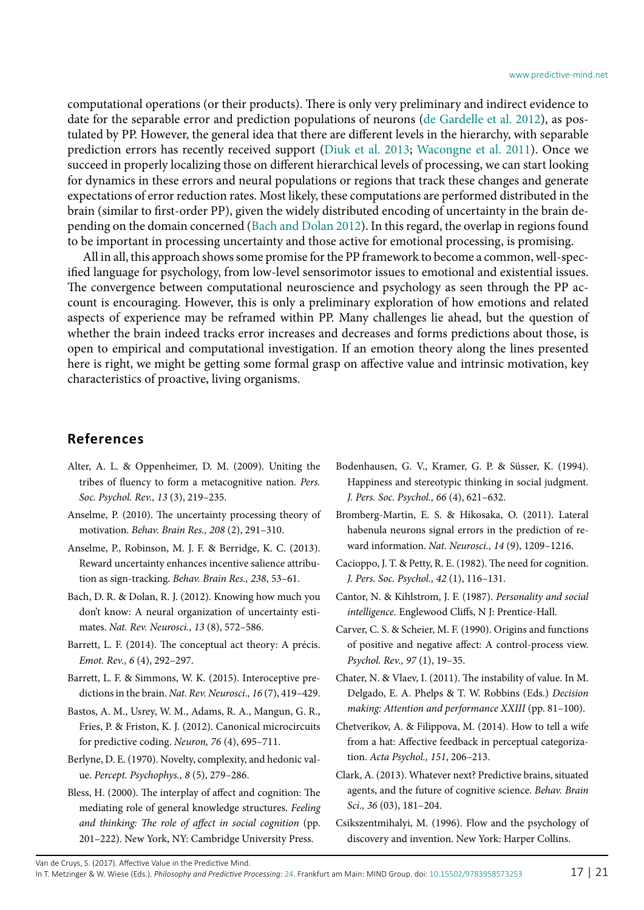computational operations (or their products). There is only very preliminary and indirect evidence to date for the separable error and prediction populations of neurons ([de Gardelle et al. 2012\)](#page-17-32), as postulated by PP. However, the general idea that there are different levels in the hierarchy, with separable prediction errors has recently received support ([Diuk et al. 2013;](#page-17-33) [Wacongne et al. 2011\)](#page-19-31). Once we succeed in properly localizing those on different hierarchical levels of processing, we can start looking for dynamics in these errors and neural populations or regions that track these changes and generate expectations of error reduction rates. Most likely, these computations are performed distributed in the brain (similar to first-order PP), given the widely distributed encoding of uncertainty in the brain depending on the domain concerned [\(Bach and Dolan 2012\)](#page-16-6). In this regard, the overlap in regions found to be important in processing uncertainty and those active for emotional processing, is promising.

All in all, this approach shows some promise for the PP framework to become a common, well-specified language for psychology, from low-level sensorimotor issues to emotional and existential issues. The convergence between computational neuroscience and psychology as seen through the PP account is encouraging. However, this is only a preliminary exploration of how emotions and related aspects of experience may be reframed within PP. Many challenges lie ahead, but the question of whether the brain indeed tracks error increases and decreases and forms predictions about those, is open to empirical and computational investigation. If an emotion theory along the lines presented here is right, we might be getting some formal grasp on affective value and intrinsic motivation, key characteristics of proactive, living organisms.

### **References**

- <span id="page-16-9"></span>Alter, A. L. & Oppenheimer, D. M. (2009). Uniting the tribes of fluency to form a metacognitive nation. *Pers. Soc. Psychol. Rev., 13* (3), 219–235.
- <span id="page-16-12"></span>Anselme, P. (2010). The uncertainty processing theory of motivation. *Behav. Brain Res., 208* (2), 291–310.
- <span id="page-16-13"></span>Anselme, P., Robinson, M. J. F. & Berridge, K. C. (2013). Reward uncertainty enhances incentive salience attribution as sign-tracking. *Behav. Brain Res., 238*, 53–61.
- <span id="page-16-6"></span>Bach, D. R. & Dolan, R. J. (2012). Knowing how much you don't know: A neural organization of uncertainty estimates. *Nat. Rev. Neurosci., 13* (8), 572–586.
- <span id="page-16-2"></span>Barrett, L. F. (2014). The conceptual act theory: A précis. *Emot. Rev., 6* (4), 292–297.
- <span id="page-16-1"></span>Barrett, L. F. & Simmons, W. K. (2015). Interoceptive predictions in the brain. *Nat. Rev. Neurosci., 16* (7), 419–429.
- <span id="page-16-4"></span>Bastos, A. M., Usrey, W. M., Adams, R. A., Mangun, G. R., Fries, P. & Friston, K. J. (2012). Canonical microcircuits for predictive coding. *Neuron, 76* (4), 695–711.
- <span id="page-16-14"></span>Berlyne, D. E. (1970). Novelty, complexity, and hedonic value. *Percept. Psychophys., 8* (5), 279–286.
- <span id="page-16-16"></span>Bless, H. (2000). The interplay of affect and cognition: The mediating role of general knowledge structures. *Feeling and thinking: The role of affect in social cognition* (pp. 201–222). New York, NY: Cambridge University Press.
- <span id="page-16-17"></span>Bodenhausen, G. V., Kramer, G. P. & Süsser, K. (1994). Happiness and stereotypic thinking in social judgment. *J. Pers. Soc. Psychol., 66* (4), 621–632.
- <span id="page-16-7"></span>Bromberg-Martin, E. S. & Hikosaka, O. (2011). Lateral habenula neurons signal errors in the prediction of reward information. *Nat. Neurosci., 14* (9), 1209–1216.
- <span id="page-16-11"></span>Cacioppo, J. T. & Petty, R. E. (1982). The need for cognition. *J. Pers. Soc. Psychol., 42* (1), 116–131.
- <span id="page-16-8"></span>Cantor, N. & Kihlstrom, J. F. (1987). *Personality and social intelligence.* Englewood Cliffs, N J: Prentice-Hall.
- <span id="page-16-3"></span>Carver, C. S. & Scheier, M. F. (1990). Origins and functions of positive and negative affect: A control-process view. *Psychol. Rev., 97* (1), 19–35.
- <span id="page-16-5"></span>Chater, N. & Vlaev, I. (2011). The instability of value. In M. Delgado, E. A. Phelps & T. W. Robbins (Eds.) *Decision making: Attention and performance XXIII* (pp. 81–100).
- <span id="page-16-15"></span>Chetverikov, A. & Filippova, M. (2014). How to tell a wife from a hat: Affective feedback in perceptual categorization. *Acta Psychol., 151*, 206–213.
- <span id="page-16-0"></span>Clark, A. (2013). Whatever next? Predictive brains, situated agents, and the future of cognitive science. *Behav. Brain Sci., 36* (03), 181–204.
- <span id="page-16-10"></span>Csikszentmihalyi, M. (1996). Flow and the psychology of discovery and invention. New York: Harper Collins.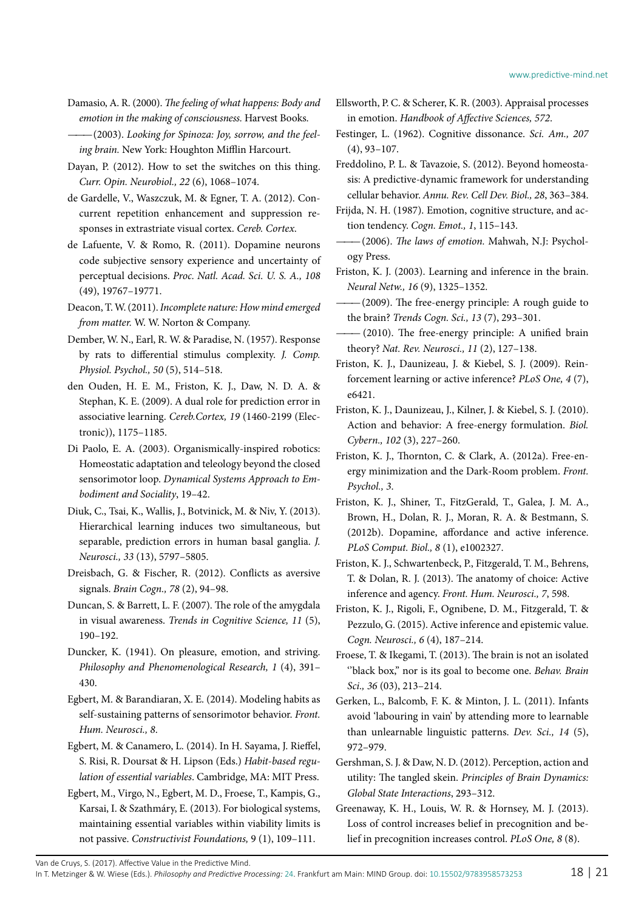<span id="page-17-25"></span>Damasio, A. R. (2000). *The feeling of what happens: Body and emotion in the making of consciousness.* Harvest Books.

<span id="page-17-19"></span> $-(2003)$ . Looking for Spinoza: Joy, sorrow, and the feel*ing brain.* New York: Houghton Mifflin Harcourt.

<span id="page-17-13"></span>Dayan, P. (2012). How to set the switches on this thing. *Curr. Opin. Neurobiol., 22* (6), 1068–1074.

<span id="page-17-32"></span>de Gardelle, V., Waszczuk, M. & Egner, T. A. (2012). Concurrent repetition enhancement and suppression responses in extrastriate visual cortex. *Cereb. Cortex*.

- <span id="page-17-16"></span>de Lafuente, V. & Romo, R. (2011). Dopamine neurons code subjective sensory experience and uncertainty of perceptual decisions. *Proc. Natl. Acad. Sci. U. S. A., 108* (49), 19767–19771.
- <span id="page-17-5"></span>Deacon, T. W.(2011). *Incomplete nature: How mind emerged from matter.* W. W. Norton & Company.
- <span id="page-17-28"></span>Dember, W. N., Earl, R. W. & Paradise, N. (1957). Response by rats to differential stimulus complexity. *J. Comp. Physiol. Psychol., 50* (5), 514–518.
- <span id="page-17-15"></span>den Ouden, H. E. M., Friston, K. J., Daw, N. D. A. & Stephan, K. E. (2009). A dual role for prediction error in associative learning. *Cereb.Cortex, 19* (1460-2199 (Electronic)), 1175–1185.
- <span id="page-17-12"></span>Di Paolo, E. A. (2003). Organismically-inspired robotics: Homeostatic adaptation and teleology beyond the closed sensorimotor loop. *Dynamical Systems Approach to Embodiment and Sociality*, 19–42.

<span id="page-17-33"></span>Diuk, C., Tsai, K., Wallis, J., Botvinick, M. & Niv, Y. (2013). Hierarchical learning induces two simultaneous, but separable, prediction errors in human basal ganglia. *J. Neurosci., 33* (13), 5797–5805.

<span id="page-17-20"></span>Dreisbach, G. & Fischer, R. (2012). Conflicts as aversive signals. *Brain Cogn., 78* (2), 94–98.

<span id="page-17-23"></span>Duncan, S. & Barrett, L. F. (2007). The role of the amygdala in visual awareness. *Trends in Cognitive Science, 11* (5), 190–192.

<span id="page-17-26"></span>Duncker, K. (1941). On pleasure, emotion, and striving. *Philosophy and Phenomenological Research, 1* (4), 391– 430.

<span id="page-17-10"></span>Egbert, M. & Barandiaran, X. E. (2014). Modeling habits as self-sustaining patterns of sensorimotor behavior. *Front. Hum. Neurosci., 8*.

<span id="page-17-11"></span>Egbert, M. & Canamero, L. (2014). In H. Sayama, J. Rieffel, S. Risi, R. Doursat & H. Lipson (Eds.) *Habit-based regulation of essential variables*. Cambridge, MA: MIT Press.

<span id="page-17-18"></span>Egbert, M., Virgo, N., Egbert, M. D., Froese, T., Kampis, G., Karsai, I. & Szathmáry, E. (2013). For biological systems, maintaining essential variables within viability limits is not passive. *Constructivist Foundations,* 9 (1), 109–111.

<span id="page-17-27"></span>Ellsworth, P. C. & Scherer, K. R. (2003). Appraisal processes in emotion. *Handbook of Affective Sciences, 572*.

<span id="page-17-17"></span>Festinger, L. (1962). Cognitive dissonance. *Sci. Am., 207* (4), 93–107.

<span id="page-17-4"></span>Freddolino, P. L. & Tavazoie, S. (2012). Beyond homeostasis: A predictive-dynamic framework for understanding cellular behavior. *Annu. Rev. Cell Dev. Biol., 28*, 363–384.

- <span id="page-17-2"></span>Friston, K. J. (2003). Learning and inference in the brain. *Neural Netw., 16* (9), 1325–1352.
- <span id="page-17-3"></span> $-(2009)$ . The free-energy principle: A rough guide to the brain? *Trends Cogn. Sci., 13* (7), 293–301.
- <span id="page-17-0"></span>*———* (2010). The free-energy principle: A unified brain theory? *Nat. Rev. Neurosci., 11* (2), 127–138.
- <span id="page-17-9"></span>Friston, K. J., Daunizeau, J. & Kiebel, S. J. (2009). Reinforcement learning or active inference? *PLoS One, 4* (7), e6421.
- <span id="page-17-1"></span>Friston, K. J., Daunizeau, J., Kilner, J. & Kiebel, S. J. (2010). Action and behavior: A free-energy formulation. *Biol. Cybern., 102* (3), 227–260.

<span id="page-17-6"></span>Friston, K. J., Thornton, C. & Clark, A. (2012a). Free-energy minimization and the Dark-Room problem. *Front. Psychol., 3*.

<span id="page-17-7"></span>Friston, K. J., Shiner, T., FitzGerald, T., Galea, J. M. A., Brown, H., Dolan, R. J., Moran, R. A. & Bestmann, S. (2012b). Dopamine, affordance and active inference. *PLoS Comput. Biol., 8* (1), e1002327.

<span id="page-17-21"></span>Friston, K. J., Schwartenbeck, P., Fitzgerald, T. M., Behrens, T. & Dolan, R. J. (2013). The anatomy of choice: Active inference and agency. *Front. Hum. Neurosci., 7*, 598.

<span id="page-17-8"></span>Friston, K. J., Rigoli, F., Ognibene, D. M., Fitzgerald, T. & Pezzulo, G. (2015). Active inference and epistemic value. *Cogn. Neurosci., 6* (4), 187–214.

<span id="page-17-22"></span>Froese, T. & Ikegami, T. (2013). The brain is not an isolated ''black box,'' nor is its goal to become one. *Behav. Brain Sci., 36* (03), 213–214.

<span id="page-17-29"></span>Gerken, L., Balcomb, F. K. & Minton, J. L. (2011). Infants avoid 'labouring in vain' by attending more to learnable than unlearnable linguistic patterns. *Dev. Sci., 14* (5), 972–979.

<span id="page-17-14"></span>Gershman, S. J. & Daw, N. D. (2012). Perception, action and utility: The tangled skein. *Principles of Brain Dynamics: Global State Interactions*, 293–312.

<span id="page-17-31"></span>Greenaway, K. H., Louis, W. R. & Hornsey, M. J. (2013). Loss of control increases belief in precognition and belief in precognition increases control. *PLoS One, 8* (8).

Van de Cruys, S. (2017). Affective Value in the Predictive Mind.

In T. Metzinger & W. Wiese (Eds.). *Philosophy and Predictive Processing:* [24](http://predictive-mind.net/papers/@@chapters?nr=24). Frankfurt am Main: MIND Group. doi: [10.15502/9783958573253](http://dx.doi.org/10.15502/9783958573253) 18 | 21

<span id="page-17-30"></span>Frijda, N. H. (1987). Emotion, cognitive structure, and action tendency. *Cogn. Emot., 1*, 115–143.

<span id="page-17-24"></span> $-(2006)$ . The laws of emotion. Mahwah, N.J: Psychology Press.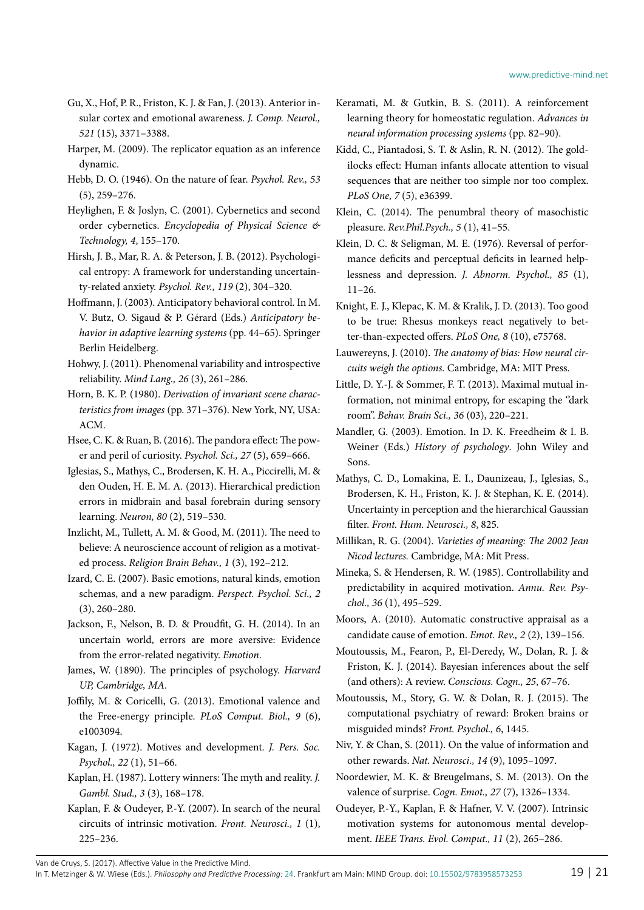- <span id="page-18-33"></span>Gu, X., Hof, P. R., Friston, K. J. & Fan, J. (2013). Anterior insular cortex and emotional awareness. *J. Comp. Neurol., 521* (15), 3371–3388.
- <span id="page-18-5"></span>Harper, M. (2009). The replicator equation as an inference dynamic.
- <span id="page-18-14"></span>Hebb, D. O. (1946). On the nature of fear. *Psychol. Rev., 53* (5), 259–276.
- <span id="page-18-4"></span>Heylighen, F. & Joslyn, C. (2001). Cybernetics and second order cybernetics. *Encyclopedia of Physical Science & Technology, 4*, 155–170.
- <span id="page-18-26"></span>Hirsh, J. B., Mar, R. A. & Peterson, J. B. (2012). Psychological entropy: A framework for understanding uncertainty-related anxiety. *Psychol. Rev., 119* (2), 304–320.
- <span id="page-18-3"></span>Hoffmann, J. (2003). Anticipatory behavioral control. In M. V. Butz, O. Sigaud & P. Gérard (Eds.) *Anticipatory behavior in adaptive learning systems* (pp. 44–65). Springer Berlin Heidelberg.
- <span id="page-18-32"></span>Hohwy, J. (2011). Phenomenal variability and introspective reliability. *Mind Lang., 26* (3), 261–286.
- <span id="page-18-1"></span>Horn, B. K. P. (1980). *Derivation of invariant scene characteristics from images* (pp. 371–376). New York, NY, USA: ACM.
- <span id="page-18-18"></span>Hsee, C. K. & Ruan, B. (2016). The pandora effect: The power and peril of curiosity. *Psychol. Sci., 27* (5), 659–666.
- <span id="page-18-8"></span>Iglesias, S., Mathys, C., Brodersen, K. H. A., Piccirelli, M. & den Ouden, H. E. M. A. (2013). Hierarchical prediction errors in midbrain and basal forebrain during sensory learning. *Neuron, 80* (2), 519–530.
- <span id="page-18-34"></span>Inzlicht, M., Tullett, A. M. & Good, M. (2011). The need to believe: A neuroscience account of religion as a motivated process. *Religion Brain Behav., 1* (3), 192–212.
- <span id="page-18-29"></span>Izard, C. E. (2007). Basic emotions, natural kinds, emotion schemas, and a new paradigm. *Perspect. Psychol. Sci., 2* (3), 260–280.
- <span id="page-18-25"></span>Jackson, F., Nelson, B. D. & Proudfit, G. H. (2014). In an uncertain world, errors are more aversive: Evidence from the error-related negativity. *Emotion*.
- <span id="page-18-2"></span>James, W. (1890). The principles of psychology. *Harvard UP, Cambridge, MA*.
- <span id="page-18-17"></span>Joffily, M. & Coricelli, G. (2013). Emotional valence and the Free-energy principle. *PLoS Comput. Biol., 9* (6), e1003094.
- <span id="page-18-24"></span>Kagan, J. (1972). Motives and development. *J. Pers. Soc. Psychol., 22* (1), 51–66.
- <span id="page-18-11"></span>Kaplan, H. (1987). Lottery winners: The myth and reality. *J. Gambl. Stud., 3* (3), 168–178.
- <span id="page-18-21"></span>Kaplan, F. & Oudeyer, P.-Y. (2007). In search of the neural circuits of intrinsic motivation. *Front. Neurosci., 1* (1), 225–236.

<span id="page-18-16"></span>Keramati, M. & Gutkin, B. S. (2011). A reinforcement learning theory for homeostatic regulation. *Advances in neural information processing systems* (pp. 82–90).

- <span id="page-18-30"></span>Kidd, C., Piantadosi, S. T. & Aslin, R. N. (2012). The goldilocks effect: Human infants allocate attention to visual sequences that are neither too simple nor too complex. *PLoS One, 7* (5), e36399.
- <span id="page-18-28"></span>Klein, C. (2014). The penumbral theory of masochistic pleasure. *Rev.Phil.Psych., 5* (1), 41–55.
- <span id="page-18-31"></span>Klein, D. C. & Seligman, M. E. (1976). Reversal of performance deficits and perceptual deficits in learned helplessness and depression. *J. Abnorm. Psychol., 85* (1), 11–26.
- <span id="page-18-9"></span>Knight, E. J., Klepac, K. M. & Kralik, J. D. (2013). Too good to be true: Rhesus monkeys react negatively to better-than-expected offers. *PLoS One, 8* (10), e75768.
- <span id="page-18-15"></span>Lauwereyns, J. (2010). *The anatomy of bias: How neural circuits weigh the options.* Cambridge, MA: MIT Press.
- <span id="page-18-22"></span>Little, D. Y.-J. & Sommer, F. T. (2013). Maximal mutual information, not minimal entropy, for escaping the ''dark room''. *Behav. Brain Sci., 36* (03), 220–221.
- <span id="page-18-13"></span>Mandler, G. (2003). Emotion. In D. K. Freedheim & I. B. Weiner (Eds.) *History of psychology*. John Wiley and Sons.
- <span id="page-18-23"></span>Mathys, C. D., Lomakina, E. I., Daunizeau, J., Iglesias, S., Brodersen, K. H., Friston, K. J. & Stephan, K. E. (2014). Uncertainty in perception and the hierarchical Gaussian filter. *Front. Hum. Neurosci., 8*, 825.
- <span id="page-18-12"></span>Millikan, R. G. (2004). *Varieties of meaning: The 2002 Jean Nicod lectures.* Cambridge, MA: Mit Press.
- <span id="page-18-27"></span>Mineka, S. & Hendersen, R. W. (1985). Controllability and predictability in acquired motivation. *Annu. Rev. Psychol., 36* (1), 495–529.
- <span id="page-18-0"></span>Moors, A. (2010). Automatic constructive appraisal as a candidate cause of emotion. *Emot. Rev., 2* (2), 139–156.
- <span id="page-18-7"></span>Moutoussis, M., Fearon, P., El-Deredy, W., Dolan, R. J. & Friston, K. J. (2014). Bayesian inferences about the self (and others): A review. *Conscious. Cogn., 25*, 67–76.
- <span id="page-18-6"></span>Moutoussis, M., Story, G. W. & Dolan, R. J. (2015). The computational psychiatry of reward: Broken brains or misguided minds? *Front. Psychol., 6*, 1445.
- <span id="page-18-19"></span>Niv, Y. & Chan, S. (2011). On the value of information and other rewards. *Nat. Neurosci., 14* (9), 1095–1097.
- <span id="page-18-10"></span>Noordewier, M. K. & Breugelmans, S. M. (2013). On the valence of surprise. *Cogn. Emot., 27* (7), 1326–1334.
- <span id="page-18-20"></span>Oudeyer, P.-Y., Kaplan, F. & Hafner, V. V. (2007). Intrinsic motivation systems for autonomous mental development. *IEEE Trans. Evol. Comput., 11* (2), 265–286.

Van de Cruys, S. (2017). Affective Value in the Predictive Mind.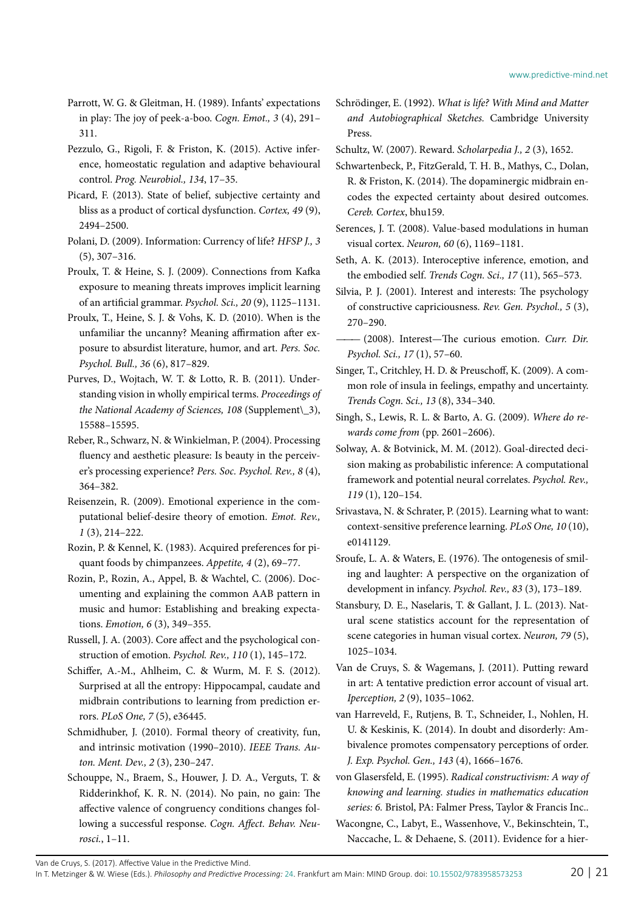- <span id="page-19-21"></span>Parrott, W. G. & Gleitman, H. (1989). Infants' expectations in play: The joy of peek-a-boo. *Cogn. Emot., 3* (4), 291– 311.
- <span id="page-19-4"></span>Pezzulo, G., Rigoli, F. & Friston, K. (2015). Active inference, homeostatic regulation and adaptive behavioural control. *Prog. Neurobiol., 134*, 17–35.
- <span id="page-19-26"></span>Picard, F. (2013). State of belief, subjective certainty and bliss as a product of cortical dysfunction. *Cortex, 49* (9), 2494–2500.
- <span id="page-19-13"></span>Polani, D. (2009). Information: Currency of life? *HFSP J., 3* (5), 307–316.
- <span id="page-19-28"></span>Proulx, T. & Heine, S. J. (2009). Connections from Kafka exposure to meaning threats improves implicit learning of an artificial grammar. *Psychol. Sci., 20* (9), 1125–1131.
- <span id="page-19-30"></span>Proulx, T., Heine, S. J. & Vohs, K. D. (2010). When is the unfamiliar the uncanny? Meaning affirmation after exposure to absurdist literature, humor, and art. *Pers. Soc. Psychol. Bull., 36* (6), 817–829.
- <span id="page-19-2"></span>Purves, D., Wojtach, W. T. & Lotto, R. B. (2011). Understanding vision in wholly empirical terms. *Proceedings of the National Academy of Sciences, 108* (Supplement\\_3), 15588–15595.
- <span id="page-19-18"></span>Reber, R., Schwarz, N. & Winkielman, P. (2004). Processing fluency and aesthetic pleasure: Is beauty in the perceiver's processing experience? *Pers. Soc. Psychol. Rev., 8* (4), 364–382.
- <span id="page-19-17"></span>Reisenzein, R. (2009). Emotional experience in the computational belief-desire theory of emotion. *Emot. Rev., 1* (3), 214–222.
- <span id="page-19-20"></span>Rozin, P. & Kennel, K. (1983). Acquired preferences for piquant foods by chimpanzees. *Appetite, 4* (2), 69–77.
- <span id="page-19-25"></span>Rozin, P., Rozin, A., Appel, B. & Wachtel, C. (2006). Documenting and explaining the common AAB pattern in music and humor: Establishing and breaking expectations. *Emotion, 6* (3), 349–355.
- <span id="page-19-1"></span>Russell, J. A. (2003). Core affect and the psychological construction of emotion. *Psychol. Rev., 110* (1), 145–172.
- <span id="page-19-11"></span>Schiffer, A.-M., Ahlheim, C. & Wurm, M. F. S. (2012). Surprised at all the entropy: Hippocampal, caudate and midbrain contributions to learning from prediction errors. *PLoS One, 7* (5), e36445.
- <span id="page-19-16"></span>Schmidhuber, J. (2010). Formal theory of creativity, fun, and intrinsic motivation (1990–2010). *IEEE Trans. Auton. Ment. Dev., 2* (3), 230–247.
- <span id="page-19-14"></span>Schouppe, N., Braem, S., Houwer, J. D. A., Verguts, T. & Ridderinkhof, K. R. N. (2014). No pain, no gain: The affective valence of congruency conditions changes following a successful response. *Cogn. Affect. Behav. Neurosci.*, 1–11.
- <span id="page-19-3"></span>Schrödinger, E. (1992). *What is life? With Mind and Matter and Autobiographical Sketches.* Cambridge University Press.
- <span id="page-19-8"></span>Schultz, W. (2007). Reward. *Scholarpedia J., 2* (3), 1652.
- <span id="page-19-5"></span>Schwartenbeck, P., FitzGerald, T. H. B., Mathys, C., Dolan, R. & Friston, K. (2014). The dopaminergic midbrain encodes the expected certainty about desired outcomes. *Cereb. Cortex*, bhu159.
- <span id="page-19-10"></span>Serences, J. T. (2008). Value-based modulations in human visual cortex. *Neuron, 60* (6), 1169–1181.
- <span id="page-19-0"></span>Seth, A. K. (2013). Interoceptive inference, emotion, and the embodied self. *Trends Cogn. Sci., 17* (11), 565–573.
- <span id="page-19-22"></span>Silvia, P. J. (2001). Interest and interests: The psychology of constructive capriciousness. *Rev. Gen. Psychol., 5* (3), 270–290.
- <span id="page-19-23"></span>*———* (2008). Interest—The curious emotion. *Curr. Dir. Psychol. Sci., 17* (1), 57–60.
- <span id="page-19-27"></span>Singer, T., Critchley, H. D. & Preuschoff, K. (2009). A common role of insula in feelings, empathy and uncertainty. *Trends Cogn. Sci., 13* (8), 334–340.
- <span id="page-19-9"></span>Singh, S., Lewis, R. L. & Barto, A. G. (2009). *Where do rewards come from* (pp. 2601–2606).
- <span id="page-19-6"></span>Solway, A. & Botvinick, M. M. (2012). Goal-directed decision making as probabilistic inference: A computational framework and potential neural correlates. *Psychol. Rev., 119* (1), 120–154.
- <span id="page-19-7"></span>Srivastava, N. & Schrater, P. (2015). Learning what to want: context-sensitive preference learning. *PLoS One, 10* (10), e0141129.
- <span id="page-19-24"></span>Sroufe, L. A. & Waters, E. (1976). The ontogenesis of smiling and laughter: A perspective on the organization of development in infancy. *Psychol. Rev., 83* (3), 173–189.
- <span id="page-19-15"></span>Stansbury, D. E., Naselaris, T. & Gallant, J. L. (2013). Natural scene statistics account for the representation of scene categories in human visual cortex. *Neuron, 79* (5), 1025–1034.
- <span id="page-19-12"></span>Van de Cruys, S. & Wagemans, J. (2011). Putting reward in art: A tentative prediction error account of visual art. *Iperception, 2* (9), 1035–1062.
- <span id="page-19-29"></span>van Harreveld, F., Rutjens, B. T., Schneider, I., Nohlen, H. U. & Keskinis, K. (2014). In doubt and disorderly: Ambivalence promotes compensatory perceptions of order. *J. Exp. Psychol. Gen., 143* (4), 1666–1676.
- <span id="page-19-19"></span>von Glasersfeld, E. (1995). *Radical constructivism: A way of knowing and learning. studies in mathematics education series: 6.* Bristol, PA: Falmer Press, Taylor & Francis Inc..
- <span id="page-19-31"></span>Wacongne, C., Labyt, E., Wassenhove, V., Bekinschtein, T., Naccache, L. & Dehaene, S. (2011). Evidence for a hier-

Van de Cruys, S. (2017). Affective Value in the Predictive Mind.